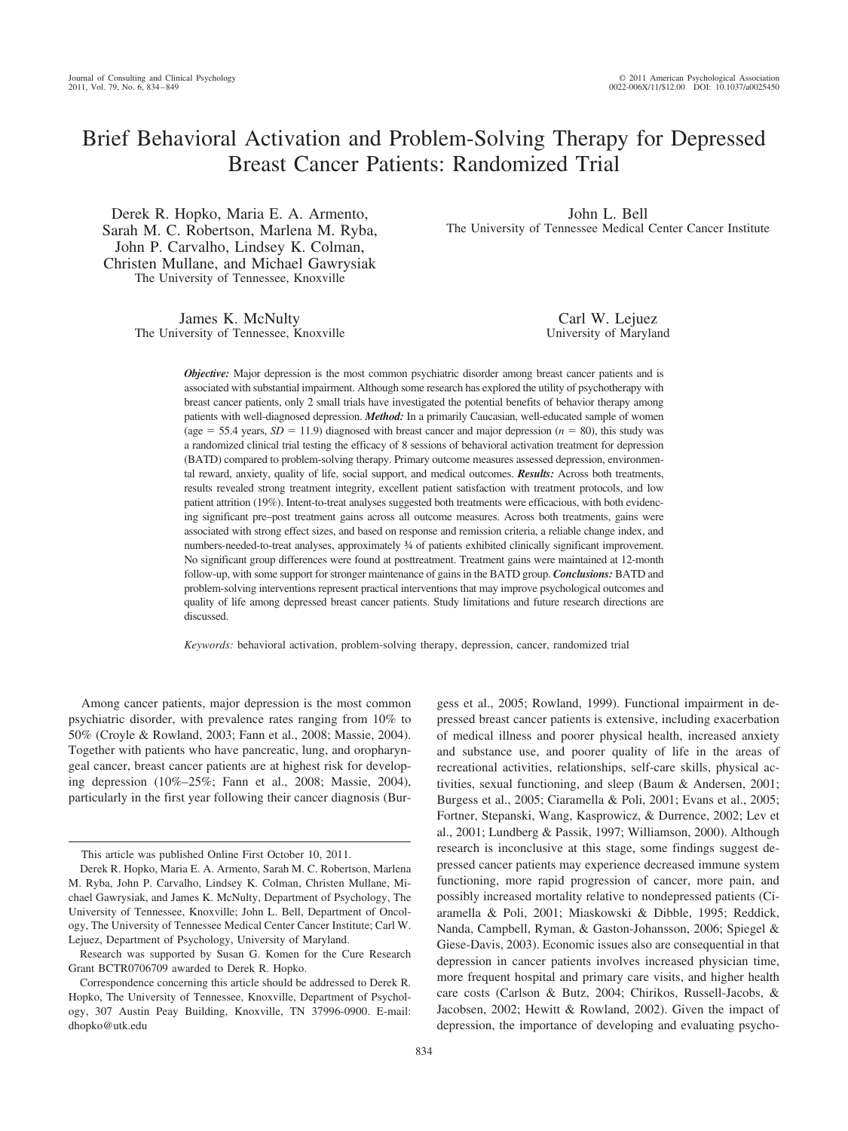# Brief Behavioral Activation and Problem-Solving Therapy for Depressed Breast Cancer Patients: Randomized Trial

Derek R. Hopko, Maria E. A. Armento, Sarah M. C. Robertson, Marlena M. Ryba, John P. Carvalho, Lindsey K. Colman, Christen Mullane, and Michael Gawrysiak The University of Tennessee, Knoxville

> James K. McNulty The University of Tennessee, Knoxville

John L. Bell The University of Tennessee Medical Center Cancer Institute

> Carl W. Lejuez University of Maryland

*Objective:* Major depression is the most common psychiatric disorder among breast cancer patients and is associated with substantial impairment. Although some research has explored the utility of psychotherapy with breast cancer patients, only 2 small trials have investigated the potential benefits of behavior therapy among patients with well-diagnosed depression. *Method:* In a primarily Caucasian, well-educated sample of women (age  $=$  55.4 years,  $SD = 11.9$ ) diagnosed with breast cancer and major depression ( $n = 80$ ), this study was a randomized clinical trial testing the efficacy of 8 sessions of behavioral activation treatment for depression (BATD) compared to problem-solving therapy. Primary outcome measures assessed depression, environmental reward, anxiety, quality of life, social support, and medical outcomes. *Results:* Across both treatments, results revealed strong treatment integrity, excellent patient satisfaction with treatment protocols, and low patient attrition (19%). Intent-to-treat analyses suggested both treatments were efficacious, with both evidencing significant pre–post treatment gains across all outcome measures. Across both treatments, gains were associated with strong effect sizes, and based on response and remission criteria, a reliable change index, and numbers-needed-to-treat analyses, approximately ¾ of patients exhibited clinically significant improvement. No significant group differences were found at posttreatment. Treatment gains were maintained at 12-month follow-up, with some support for stronger maintenance of gains in the BATD group. *Conclusions:* BATD and problem-solving interventions represent practical interventions that may improve psychological outcomes and quality of life among depressed breast cancer patients. Study limitations and future research directions are discussed.

*Keywords:* behavioral activation, problem-solving therapy, depression, cancer, randomized trial

Among cancer patients, major depression is the most common psychiatric disorder, with prevalence rates ranging from 10% to 50% (Croyle & Rowland, 2003; Fann et al., 2008; Massie, 2004). Together with patients who have pancreatic, lung, and oropharyngeal cancer, breast cancer patients are at highest risk for developing depression (10%–25%; Fann et al., 2008; Massie, 2004), particularly in the first year following their cancer diagnosis (Bur-

gess et al., 2005; Rowland, 1999). Functional impairment in depressed breast cancer patients is extensive, including exacerbation of medical illness and poorer physical health, increased anxiety and substance use, and poorer quality of life in the areas of recreational activities, relationships, self-care skills, physical activities, sexual functioning, and sleep (Baum & Andersen, 2001; Burgess et al., 2005; Ciaramella & Poli, 2001; Evans et al., 2005; Fortner, Stepanski, Wang, Kasprowicz, & Durrence, 2002; Lev et al., 2001; Lundberg & Passik, 1997; Williamson, 2000). Although research is inconclusive at this stage, some findings suggest depressed cancer patients may experience decreased immune system functioning, more rapid progression of cancer, more pain, and possibly increased mortality relative to nondepressed patients (Ciaramella & Poli, 2001; Miaskowski & Dibble, 1995; Reddick, Nanda, Campbell, Ryman, & Gaston-Johansson, 2006; Spiegel & Giese-Davis, 2003). Economic issues also are consequential in that depression in cancer patients involves increased physician time, more frequent hospital and primary care visits, and higher health care costs (Carlson & Butz, 2004; Chirikos, Russell-Jacobs, & Jacobsen, 2002; Hewitt & Rowland, 2002). Given the impact of depression, the importance of developing and evaluating psycho-

This article was published Online First October 10, 2011.

Derek R. Hopko, Maria E. A. Armento, Sarah M. C. Robertson, Marlena M. Ryba, John P. Carvalho, Lindsey K. Colman, Christen Mullane, Michael Gawrysiak, and James K. McNulty, Department of Psychology, The University of Tennessee, Knoxville; John L. Bell, Department of Oncology, The University of Tennessee Medical Center Cancer Institute; Carl W. Lejuez, Department of Psychology, University of Maryland.

Research was supported by Susan G. Komen for the Cure Research Grant BCTR0706709 awarded to Derek R. Hopko.

Correspondence concerning this article should be addressed to Derek R. Hopko, The University of Tennessee, Knoxville, Department of Psychology, 307 Austin Peay Building, Knoxville, TN 37996-0900. E-mail: dhopko@utk.edu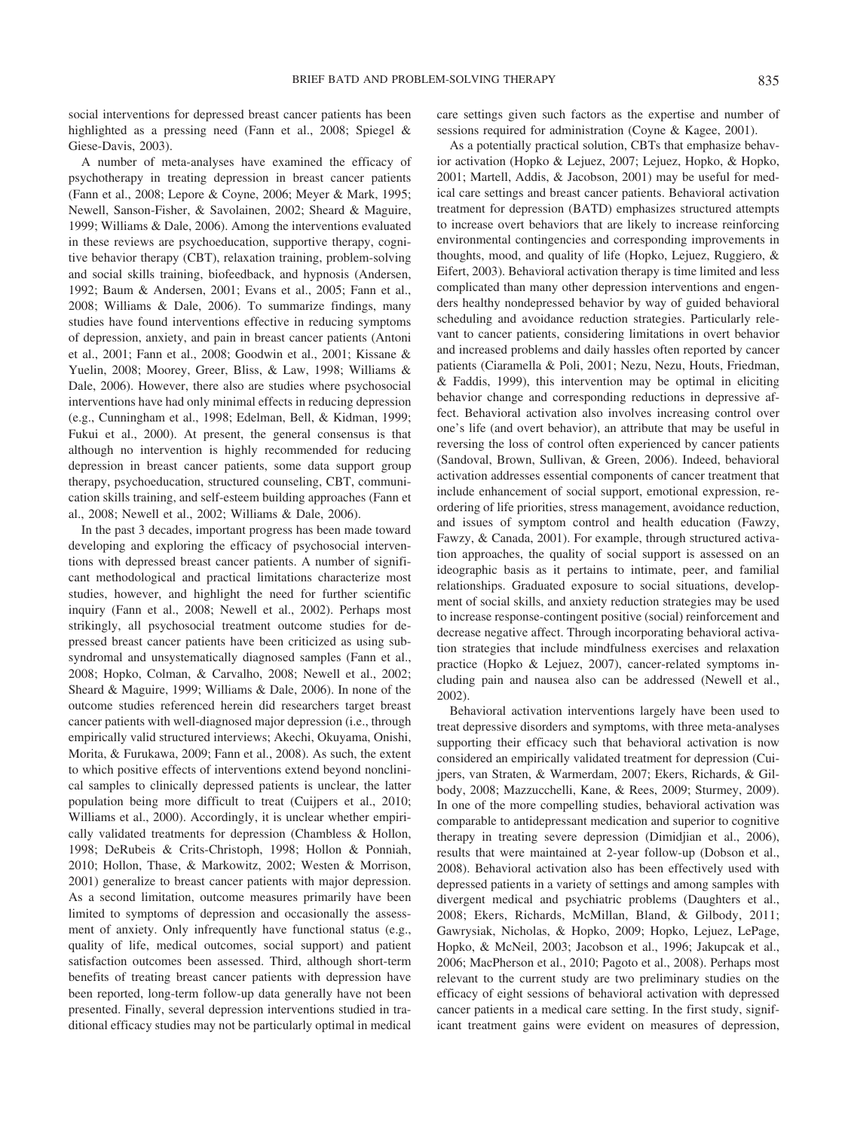social interventions for depressed breast cancer patients has been highlighted as a pressing need (Fann et al., 2008; Spiegel & Giese-Davis, 2003).

A number of meta-analyses have examined the efficacy of psychotherapy in treating depression in breast cancer patients (Fann et al., 2008; Lepore & Coyne, 2006; Meyer & Mark, 1995; Newell, Sanson-Fisher, & Savolainen, 2002; Sheard & Maguire, 1999; Williams & Dale, 2006). Among the interventions evaluated in these reviews are psychoeducation, supportive therapy, cognitive behavior therapy (CBT), relaxation training, problem-solving and social skills training, biofeedback, and hypnosis (Andersen, 1992; Baum & Andersen, 2001; Evans et al., 2005; Fann et al., 2008; Williams & Dale, 2006). To summarize findings, many studies have found interventions effective in reducing symptoms of depression, anxiety, and pain in breast cancer patients (Antoni et al., 2001; Fann et al., 2008; Goodwin et al., 2001; Kissane & Yuelin, 2008; Moorey, Greer, Bliss, & Law, 1998; Williams & Dale, 2006). However, there also are studies where psychosocial interventions have had only minimal effects in reducing depression (e.g., Cunningham et al., 1998; Edelman, Bell, & Kidman, 1999; Fukui et al., 2000). At present, the general consensus is that although no intervention is highly recommended for reducing depression in breast cancer patients, some data support group therapy, psychoeducation, structured counseling, CBT, communication skills training, and self-esteem building approaches (Fann et al., 2008; Newell et al., 2002; Williams & Dale, 2006).

In the past 3 decades, important progress has been made toward developing and exploring the efficacy of psychosocial interventions with depressed breast cancer patients. A number of significant methodological and practical limitations characterize most studies, however, and highlight the need for further scientific inquiry (Fann et al., 2008; Newell et al., 2002). Perhaps most strikingly, all psychosocial treatment outcome studies for depressed breast cancer patients have been criticized as using subsyndromal and unsystematically diagnosed samples (Fann et al., 2008; Hopko, Colman, & Carvalho, 2008; Newell et al., 2002; Sheard & Maguire, 1999; Williams & Dale, 2006). In none of the outcome studies referenced herein did researchers target breast cancer patients with well-diagnosed major depression (i.e., through empirically valid structured interviews; Akechi, Okuyama, Onishi, Morita, & Furukawa, 2009; Fann et al., 2008). As such, the extent to which positive effects of interventions extend beyond nonclinical samples to clinically depressed patients is unclear, the latter population being more difficult to treat (Cuijpers et al., 2010; Williams et al., 2000). Accordingly, it is unclear whether empirically validated treatments for depression (Chambless & Hollon, 1998; DeRubeis & Crits-Christoph, 1998; Hollon & Ponniah, 2010; Hollon, Thase, & Markowitz, 2002; Westen & Morrison, 2001) generalize to breast cancer patients with major depression. As a second limitation, outcome measures primarily have been limited to symptoms of depression and occasionally the assessment of anxiety. Only infrequently have functional status (e.g., quality of life, medical outcomes, social support) and patient satisfaction outcomes been assessed. Third, although short-term benefits of treating breast cancer patients with depression have been reported, long-term follow-up data generally have not been presented. Finally, several depression interventions studied in traditional efficacy studies may not be particularly optimal in medical care settings given such factors as the expertise and number of sessions required for administration (Coyne & Kagee, 2001).

As a potentially practical solution, CBTs that emphasize behavior activation (Hopko & Lejuez, 2007; Lejuez, Hopko, & Hopko, 2001; Martell, Addis, & Jacobson, 2001) may be useful for medical care settings and breast cancer patients. Behavioral activation treatment for depression (BATD) emphasizes structured attempts to increase overt behaviors that are likely to increase reinforcing environmental contingencies and corresponding improvements in thoughts, mood, and quality of life (Hopko, Lejuez, Ruggiero, & Eifert, 2003). Behavioral activation therapy is time limited and less complicated than many other depression interventions and engenders healthy nondepressed behavior by way of guided behavioral scheduling and avoidance reduction strategies. Particularly relevant to cancer patients, considering limitations in overt behavior and increased problems and daily hassles often reported by cancer patients (Ciaramella & Poli, 2001; Nezu, Nezu, Houts, Friedman, & Faddis, 1999), this intervention may be optimal in eliciting behavior change and corresponding reductions in depressive affect. Behavioral activation also involves increasing control over one's life (and overt behavior), an attribute that may be useful in reversing the loss of control often experienced by cancer patients (Sandoval, Brown, Sullivan, & Green, 2006). Indeed, behavioral activation addresses essential components of cancer treatment that include enhancement of social support, emotional expression, reordering of life priorities, stress management, avoidance reduction, and issues of symptom control and health education (Fawzy, Fawzy, & Canada, 2001). For example, through structured activation approaches, the quality of social support is assessed on an ideographic basis as it pertains to intimate, peer, and familial relationships. Graduated exposure to social situations, development of social skills, and anxiety reduction strategies may be used to increase response-contingent positive (social) reinforcement and decrease negative affect. Through incorporating behavioral activation strategies that include mindfulness exercises and relaxation practice (Hopko & Lejuez, 2007), cancer-related symptoms including pain and nausea also can be addressed (Newell et al., 2002).

Behavioral activation interventions largely have been used to treat depressive disorders and symptoms, with three meta-analyses supporting their efficacy such that behavioral activation is now considered an empirically validated treatment for depression (Cuijpers, van Straten, & Warmerdam, 2007; Ekers, Richards, & Gilbody, 2008; Mazzucchelli, Kane, & Rees, 2009; Sturmey, 2009). In one of the more compelling studies, behavioral activation was comparable to antidepressant medication and superior to cognitive therapy in treating severe depression (Dimidjian et al., 2006), results that were maintained at 2-year follow-up (Dobson et al., 2008). Behavioral activation also has been effectively used with depressed patients in a variety of settings and among samples with divergent medical and psychiatric problems (Daughters et al., 2008; Ekers, Richards, McMillan, Bland, & Gilbody, 2011; Gawrysiak, Nicholas, & Hopko, 2009; Hopko, Lejuez, LePage, Hopko, & McNeil, 2003; Jacobson et al., 1996; Jakupcak et al., 2006; MacPherson et al., 2010; Pagoto et al., 2008). Perhaps most relevant to the current study are two preliminary studies on the efficacy of eight sessions of behavioral activation with depressed cancer patients in a medical care setting. In the first study, significant treatment gains were evident on measures of depression,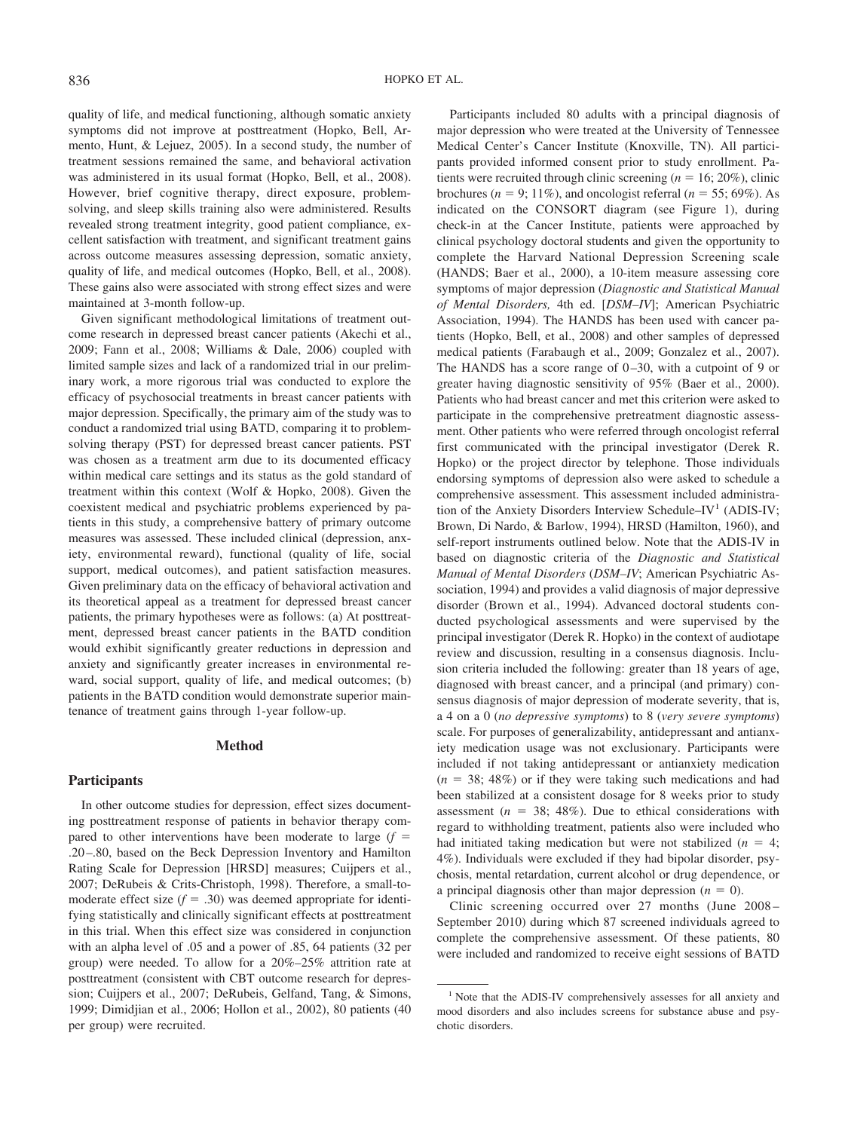quality of life, and medical functioning, although somatic anxiety symptoms did not improve at posttreatment (Hopko, Bell, Armento, Hunt, & Lejuez, 2005). In a second study, the number of treatment sessions remained the same, and behavioral activation was administered in its usual format (Hopko, Bell, et al., 2008). However, brief cognitive therapy, direct exposure, problemsolving, and sleep skills training also were administered. Results revealed strong treatment integrity, good patient compliance, excellent satisfaction with treatment, and significant treatment gains across outcome measures assessing depression, somatic anxiety, quality of life, and medical outcomes (Hopko, Bell, et al., 2008). These gains also were associated with strong effect sizes and were maintained at 3-month follow-up.

Given significant methodological limitations of treatment outcome research in depressed breast cancer patients (Akechi et al., 2009; Fann et al., 2008; Williams & Dale, 2006) coupled with limited sample sizes and lack of a randomized trial in our preliminary work, a more rigorous trial was conducted to explore the efficacy of psychosocial treatments in breast cancer patients with major depression. Specifically, the primary aim of the study was to conduct a randomized trial using BATD, comparing it to problemsolving therapy (PST) for depressed breast cancer patients. PST was chosen as a treatment arm due to its documented efficacy within medical care settings and its status as the gold standard of treatment within this context (Wolf & Hopko, 2008). Given the coexistent medical and psychiatric problems experienced by patients in this study, a comprehensive battery of primary outcome measures was assessed. These included clinical (depression, anxiety, environmental reward), functional (quality of life, social support, medical outcomes), and patient satisfaction measures. Given preliminary data on the efficacy of behavioral activation and its theoretical appeal as a treatment for depressed breast cancer patients, the primary hypotheses were as follows: (a) At posttreatment, depressed breast cancer patients in the BATD condition would exhibit significantly greater reductions in depression and anxiety and significantly greater increases in environmental reward, social support, quality of life, and medical outcomes; (b) patients in the BATD condition would demonstrate superior maintenance of treatment gains through 1-year follow-up.

#### **Method**

#### **Participants**

In other outcome studies for depression, effect sizes documenting posttreatment response of patients in behavior therapy compared to other interventions have been moderate to large  $(f =$ .20 –.80, based on the Beck Depression Inventory and Hamilton Rating Scale for Depression [HRSD] measures; Cuijpers et al., 2007; DeRubeis & Crits-Christoph, 1998). Therefore, a small-tomoderate effect size  $(f = .30)$  was deemed appropriate for identifying statistically and clinically significant effects at posttreatment in this trial. When this effect size was considered in conjunction with an alpha level of .05 and a power of .85, 64 patients (32 per group) were needed. To allow for a 20%–25% attrition rate at posttreatment (consistent with CBT outcome research for depression; Cuijpers et al., 2007; DeRubeis, Gelfand, Tang, & Simons, 1999; Dimidjian et al., 2006; Hollon et al., 2002), 80 patients (40 per group) were recruited.

Participants included 80 adults with a principal diagnosis of major depression who were treated at the University of Tennessee Medical Center's Cancer Institute (Knoxville, TN). All participants provided informed consent prior to study enrollment. Patients were recruited through clinic screening  $(n = 16; 20\%)$ , clinic brochures ( $n = 9$ ; 11%), and oncologist referral ( $n = 55$ ; 69%). As indicated on the CONSORT diagram (see Figure 1), during check-in at the Cancer Institute, patients were approached by clinical psychology doctoral students and given the opportunity to complete the Harvard National Depression Screening scale (HANDS; Baer et al., 2000), a 10-item measure assessing core symptoms of major depression (*Diagnostic and Statistical Manual of Mental Disorders,* 4th ed. [*DSM–IV*]; American Psychiatric Association, 1994). The HANDS has been used with cancer patients (Hopko, Bell, et al., 2008) and other samples of depressed medical patients (Farabaugh et al., 2009; Gonzalez et al., 2007). The HANDS has a score range of  $0-30$ , with a cutpoint of 9 or greater having diagnostic sensitivity of 95% (Baer et al., 2000). Patients who had breast cancer and met this criterion were asked to participate in the comprehensive pretreatment diagnostic assessment. Other patients who were referred through oncologist referral first communicated with the principal investigator (Derek R. Hopko) or the project director by telephone. Those individuals endorsing symptoms of depression also were asked to schedule a comprehensive assessment. This assessment included administration of the Anxiety Disorders Interview Schedule–IV<sup>1</sup> (ADIS-IV; Brown, Di Nardo, & Barlow, 1994), HRSD (Hamilton, 1960), and self-report instruments outlined below. Note that the ADIS-IV in based on diagnostic criteria of the *Diagnostic and Statistical Manual of Mental Disorders* (*DSM–IV*; American Psychiatric Association, 1994) and provides a valid diagnosis of major depressive disorder (Brown et al., 1994). Advanced doctoral students conducted psychological assessments and were supervised by the principal investigator (Derek R. Hopko) in the context of audiotape review and discussion, resulting in a consensus diagnosis. Inclusion criteria included the following: greater than 18 years of age, diagnosed with breast cancer, and a principal (and primary) consensus diagnosis of major depression of moderate severity, that is, a 4 on a 0 (*no depressive symptoms*) to 8 (*very severe symptoms*) scale. For purposes of generalizability, antidepressant and antianxiety medication usage was not exclusionary. Participants were included if not taking antidepressant or antianxiety medication  $(n = 38; 48\%)$  or if they were taking such medications and had been stabilized at a consistent dosage for 8 weeks prior to study assessment  $(n = 38; 48\%)$ . Due to ethical considerations with regard to withholding treatment, patients also were included who had initiated taking medication but were not stabilized  $(n = 4)$ ; 4%). Individuals were excluded if they had bipolar disorder, psychosis, mental retardation, current alcohol or drug dependence, or a principal diagnosis other than major depression  $(n = 0)$ .

Clinic screening occurred over 27 months (June 2008 – September 2010) during which 87 screened individuals agreed to complete the comprehensive assessment. Of these patients, 80 were included and randomized to receive eight sessions of BATD

<sup>&</sup>lt;sup>1</sup> Note that the ADIS-IV comprehensively assesses for all anxiety and mood disorders and also includes screens for substance abuse and psychotic disorders.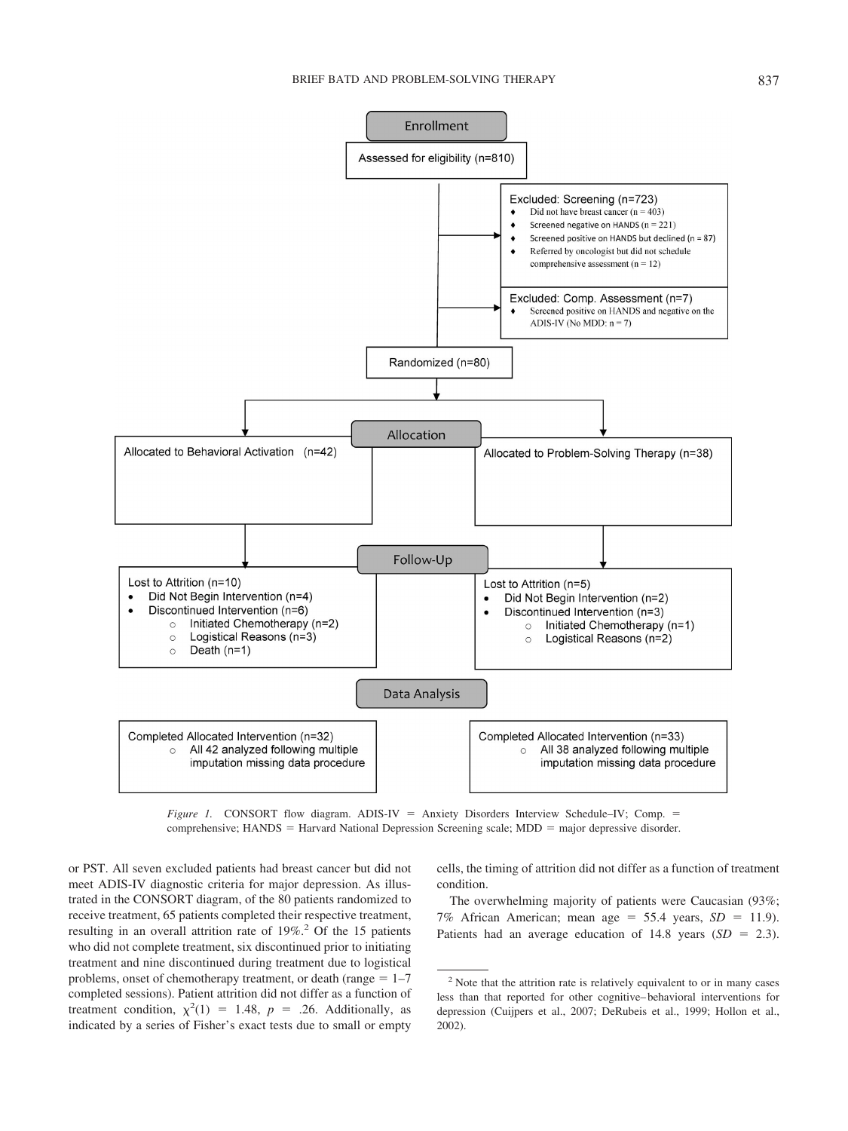

*Figure 1.* CONSORT flow diagram. ADIS-IV = Anxiety Disorders Interview Schedule–IV; Comp. = comprehensive;  $HANDS = Harvard National Depression Screening scale$ ;  $MDD = major depressive disorder$ .

or PST. All seven excluded patients had breast cancer but did not meet ADIS-IV diagnostic criteria for major depression. As illustrated in the CONSORT diagram, of the 80 patients randomized to receive treatment, 65 patients completed their respective treatment, resulting in an overall attrition rate of  $19\%$ <sup>2</sup> Of the 15 patients who did not complete treatment, six discontinued prior to initiating treatment and nine discontinued during treatment due to logistical problems, onset of chemotherapy treatment, or death (range  $= 1-7$ completed sessions). Patient attrition did not differ as a function of treatment condition,  $\chi^2(1) = 1.48$ ,  $p = .26$ . Additionally, as indicated by a series of Fisher's exact tests due to small or empty

cells, the timing of attrition did not differ as a function of treatment condition.

The overwhelming majority of patients were Caucasian (93%; 7% African American; mean age = 55.4 years,  $SD = 11.9$ ). Patients had an average education of  $14.8$  years  $(SD = 2.3)$ .

<sup>&</sup>lt;sup>2</sup> Note that the attrition rate is relatively equivalent to or in many cases less than that reported for other cognitive– behavioral interventions for depression (Cuijpers et al., 2007; DeRubeis et al., 1999; Hollon et al., 2002).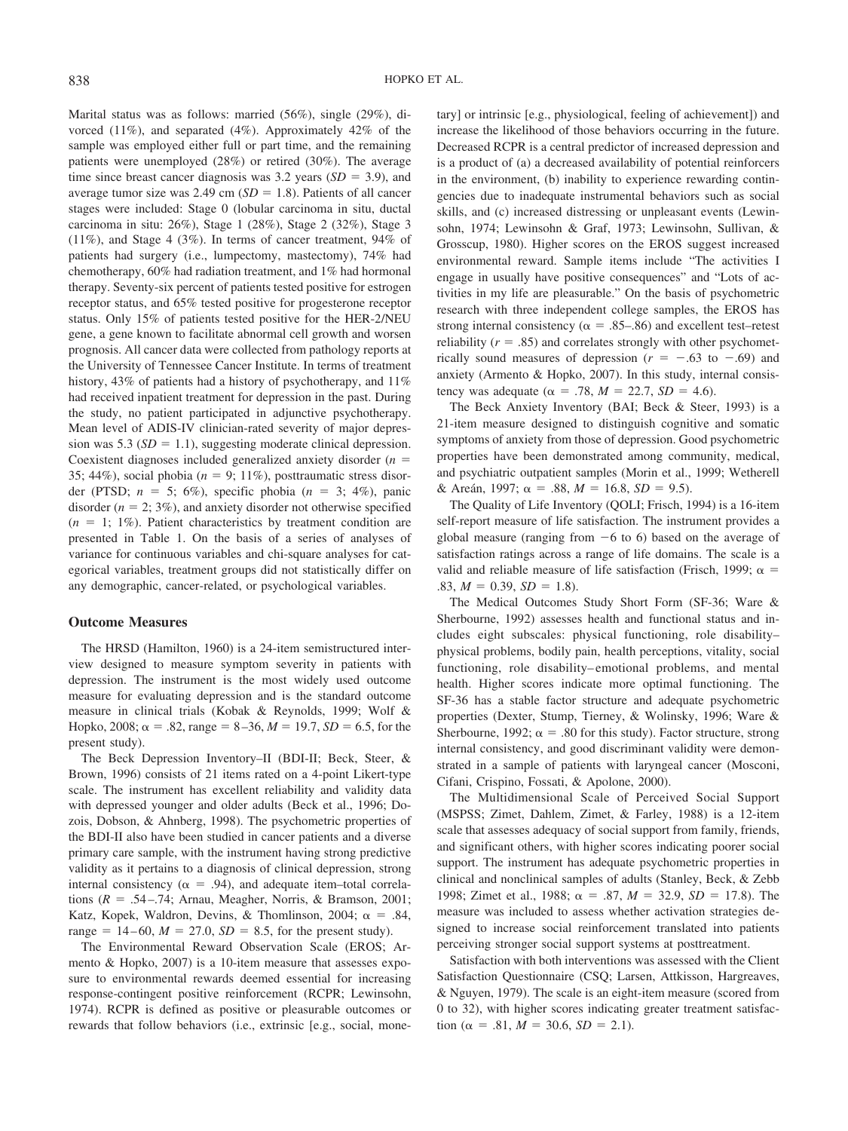Marital status was as follows: married (56%), single (29%), divorced (11%), and separated (4%). Approximately 42% of the sample was employed either full or part time, and the remaining patients were unemployed (28%) or retired (30%). The average time since breast cancer diagnosis was 3.2 years  $(SD = 3.9)$ , and average tumor size was 2.49 cm  $(SD = 1.8)$ . Patients of all cancer stages were included: Stage 0 (lobular carcinoma in situ, ductal carcinoma in situ: 26%), Stage 1 (28%), Stage 2 (32%), Stage 3 (11%), and Stage 4 (3%). In terms of cancer treatment, 94% of patients had surgery (i.e., lumpectomy, mastectomy), 74% had chemotherapy, 60% had radiation treatment, and 1% had hormonal therapy. Seventy-six percent of patients tested positive for estrogen receptor status, and 65% tested positive for progesterone receptor status. Only 15% of patients tested positive for the HER-2/NEU gene, a gene known to facilitate abnormal cell growth and worsen prognosis. All cancer data were collected from pathology reports at the University of Tennessee Cancer Institute. In terms of treatment history, 43% of patients had a history of psychotherapy, and 11% had received inpatient treatment for depression in the past. During the study, no patient participated in adjunctive psychotherapy. Mean level of ADIS-IV clinician-rated severity of major depression was  $5.3$  ( $SD = 1.1$ ), suggesting moderate clinical depression. Coexistent diagnoses included generalized anxiety disorder (*n* 35; 44%), social phobia ( $n = 9$ ; 11%), posttraumatic stress disorder (PTSD;  $n = 5$ ; 6%), specific phobia ( $n = 3$ ; 4%), panic disorder  $(n = 2, 3\%)$ , and anxiety disorder not otherwise specified  $(n = 1; 1\%)$ . Patient characteristics by treatment condition are presented in Table 1. On the basis of a series of analyses of variance for continuous variables and chi-square analyses for categorical variables, treatment groups did not statistically differ on any demographic, cancer-related, or psychological variables.

#### **Outcome Measures**

The HRSD (Hamilton, 1960) is a 24-item semistructured interview designed to measure symptom severity in patients with depression. The instrument is the most widely used outcome measure for evaluating depression and is the standard outcome measure in clinical trials (Kobak & Reynolds, 1999; Wolf & Hopko, 2008;  $\alpha = .82$ , range = 8–36,  $M = 19.7$ ,  $SD = 6.5$ , for the present study).

The Beck Depression Inventory–II (BDI-II; Beck, Steer, & Brown, 1996) consists of 21 items rated on a 4-point Likert-type scale. The instrument has excellent reliability and validity data with depressed younger and older adults (Beck et al., 1996; Dozois, Dobson, & Ahnberg, 1998). The psychometric properties of the BDI-II also have been studied in cancer patients and a diverse primary care sample, with the instrument having strong predictive validity as it pertains to a diagnosis of clinical depression, strong internal consistency ( $\alpha = .94$ ), and adequate item–total correlations  $(R = .54 - .74;$  Arnau, Meagher, Norris, & Bramson, 2001; Katz, Kopek, Waldron, Devins, & Thomlinson, 2004;  $\alpha = .84$ , range  $= 14 - 60$ ,  $M = 27.0$ ,  $SD = 8.5$ , for the present study).

The Environmental Reward Observation Scale (EROS; Armento & Hopko, 2007) is a 10-item measure that assesses exposure to environmental rewards deemed essential for increasing response-contingent positive reinforcement (RCPR; Lewinsohn, 1974). RCPR is defined as positive or pleasurable outcomes or rewards that follow behaviors (i.e., extrinsic [e.g., social, monetary] or intrinsic [e.g., physiological, feeling of achievement]) and increase the likelihood of those behaviors occurring in the future. Decreased RCPR is a central predictor of increased depression and is a product of (a) a decreased availability of potential reinforcers in the environment, (b) inability to experience rewarding contingencies due to inadequate instrumental behaviors such as social skills, and (c) increased distressing or unpleasant events (Lewinsohn, 1974; Lewinsohn & Graf, 1973; Lewinsohn, Sullivan, & Grosscup, 1980). Higher scores on the EROS suggest increased environmental reward. Sample items include "The activities I engage in usually have positive consequences" and "Lots of activities in my life are pleasurable." On the basis of psychometric research with three independent college samples, the EROS has strong internal consistency ( $\alpha = .85-.86$ ) and excellent test–retest reliability  $(r = .85)$  and correlates strongly with other psychometrically sound measures of depression  $(r = -.63 \text{ to } -.69)$  and anxiety (Armento & Hopko, 2007). In this study, internal consistency was adequate ( $\alpha = .78$ ,  $M = 22.7$ ,  $SD = 4.6$ ).

The Beck Anxiety Inventory (BAI; Beck & Steer, 1993) is a 21-item measure designed to distinguish cognitive and somatic symptoms of anxiety from those of depression. Good psychometric properties have been demonstrated among community, medical, and psychiatric outpatient samples (Morin et al., 1999; Wetherell & Areán, 1997;  $\alpha = .88$ ,  $M = 16.8$ ,  $SD = 9.5$ ).

The Quality of Life Inventory (QOLI; Frisch, 1994) is a 16-item self-report measure of life satisfaction. The instrument provides a global measure (ranging from  $-6$  to 6) based on the average of satisfaction ratings across a range of life domains. The scale is a valid and reliable measure of life satisfaction (Frisch, 1999;  $\alpha$  =  $.83, M = 0.39, SD = 1.8$ .

The Medical Outcomes Study Short Form (SF-36; Ware & Sherbourne, 1992) assesses health and functional status and includes eight subscales: physical functioning, role disability– physical problems, bodily pain, health perceptions, vitality, social functioning, role disability– emotional problems, and mental health. Higher scores indicate more optimal functioning. The SF-36 has a stable factor structure and adequate psychometric properties (Dexter, Stump, Tierney, & Wolinsky, 1996; Ware & Sherbourne, 1992;  $\alpha = .80$  for this study). Factor structure, strong internal consistency, and good discriminant validity were demonstrated in a sample of patients with laryngeal cancer (Mosconi, Cifani, Crispino, Fossati, & Apolone, 2000).

The Multidimensional Scale of Perceived Social Support (MSPSS; Zimet, Dahlem, Zimet, & Farley, 1988) is a 12-item scale that assesses adequacy of social support from family, friends, and significant others, with higher scores indicating poorer social support. The instrument has adequate psychometric properties in clinical and nonclinical samples of adults (Stanley, Beck, & Zebb 1998; Zimet et al., 1988;  $\alpha = .87$ ,  $M = 32.9$ ,  $SD = 17.8$ ). The measure was included to assess whether activation strategies designed to increase social reinforcement translated into patients perceiving stronger social support systems at posttreatment.

Satisfaction with both interventions was assessed with the Client Satisfaction Questionnaire (CSQ; Larsen, Attkisson, Hargreaves, & Nguyen, 1979). The scale is an eight-item measure (scored from 0 to 32), with higher scores indicating greater treatment satisfaction ( $\alpha = .81$ ,  $M = 30.6$ ,  $SD = 2.1$ ).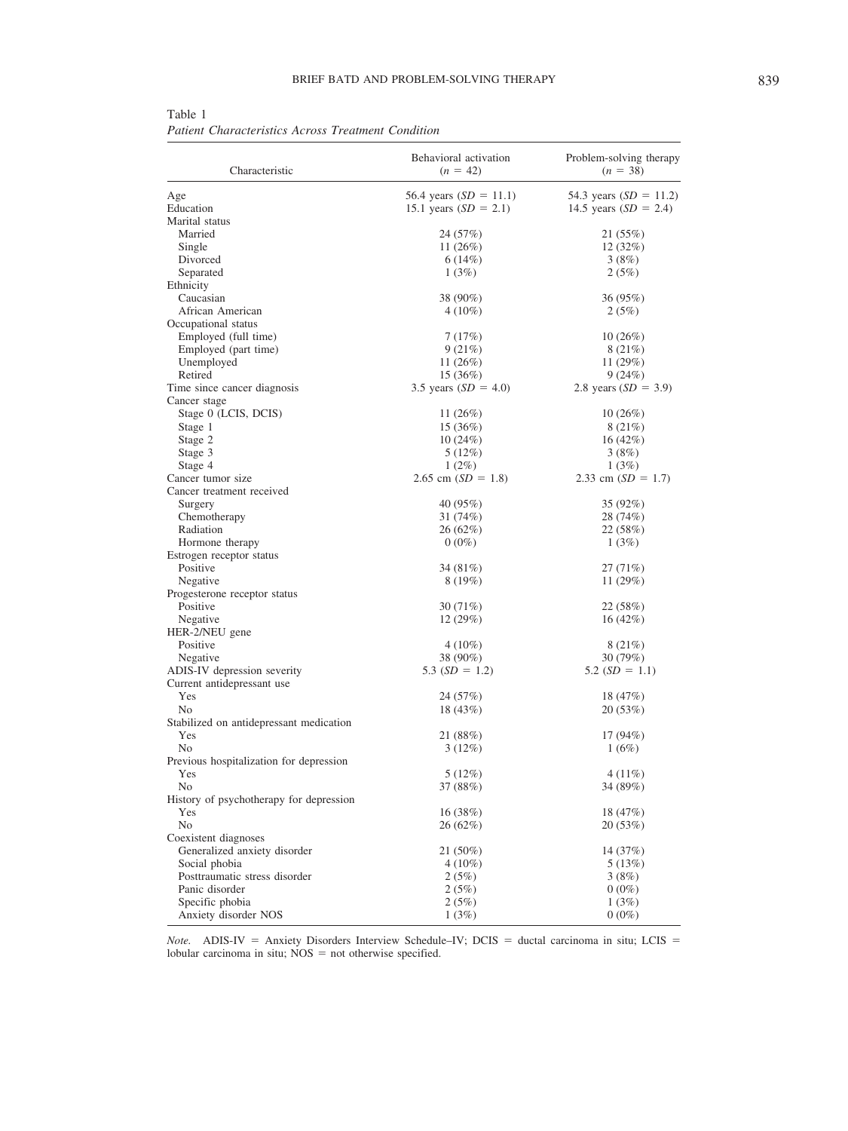| Characteristic                          | Behavioral activation<br>$(n = 42)$ | Problem-solving therapy<br>$(n = 38)$ |  |  |
|-----------------------------------------|-------------------------------------|---------------------------------------|--|--|
| Age                                     | 56.4 years $(SD = 11.1)$            | 54.3 years $(SD = 11.2)$              |  |  |
| Education                               | 15.1 years $(SD = 2.1)$             | 14.5 years $(SD = 2.4)$               |  |  |
| Marital status                          |                                     |                                       |  |  |
| Married                                 | 24 (57%)                            | 21(55%)                               |  |  |
| Single                                  | 11 $(26%)$                          | 12(32%)                               |  |  |
| Divorced                                | 6(14%)                              | 3(8%)                                 |  |  |
| Separated                               | 1(3%)                               | 2(5%)                                 |  |  |
| Ethnicity                               |                                     |                                       |  |  |
| Caucasian                               | 38 (90%)                            | 36(95%)                               |  |  |
| African American                        | $4(10\%)$                           | 2(5%)                                 |  |  |
| Occupational status                     |                                     |                                       |  |  |
| Employed (full time)                    | 7(17%)                              | 10(26%)                               |  |  |
| Employed (part time)                    | 9(21%)                              | 8 (21%)                               |  |  |
| Unemployed                              | 11 $(26%)$                          | 11(29%)                               |  |  |
| Retired                                 | 15(36%)                             | 9(24%)                                |  |  |
| Time since cancer diagnosis             | 3.5 years $(SD = 4.0)$              | 2.8 years $(SD = 3.9)$                |  |  |
| Cancer stage                            |                                     |                                       |  |  |
| Stage 0 (LCIS, DCIS)                    | 11(26%)                             | 10(26%)                               |  |  |
| Stage 1                                 | 15(36%)                             | 8(21%)                                |  |  |
| Stage 2<br>Stage 3                      | 10(24%)<br>5(12%)                   | 16(42%)<br>3(8%)                      |  |  |
| Stage 4                                 | $1(2\%)$                            | 1(3%)                                 |  |  |
| Cancer tumor size                       | 2.65 cm $(SD = 1.8)$                | 2.33 cm $(SD = 1.7)$                  |  |  |
| Cancer treatment received               |                                     |                                       |  |  |
| Surgery                                 | 40 (95%)                            | 35 (92%)                              |  |  |
| Chemotherapy                            | 31 (74%)                            | 28 (74%)                              |  |  |
| Radiation                               | 26 (62%)                            | 22(58%)                               |  |  |
| Hormone therapy                         | $0(0\%)$                            | 1(3%)                                 |  |  |
| Estrogen receptor status                |                                     |                                       |  |  |
| Positive                                | 34 (81%)                            | 27 (71%)                              |  |  |
| Negative                                | 8(19%)                              | 11(29%)                               |  |  |
| Progesterone receptor status            |                                     |                                       |  |  |
| Positive                                | 30 (71%)                            | 22 (58%)                              |  |  |
| Negative                                | 12(29%)                             | 16(42%)                               |  |  |
| HER-2/NEU gene                          |                                     |                                       |  |  |
| Positive                                | $4(10\%)$                           | 8 (21\%)                              |  |  |
| Negative                                | 38 (90%)                            | 30 (79%)                              |  |  |
| ADIS-IV depression severity             | 5.3 $(SD = 1.2)$                    | $5.2(SD = 1.1)$                       |  |  |
| Current antidepressant use              |                                     |                                       |  |  |
| Yes                                     | 24 (57%)                            | 18(47%)                               |  |  |
| N <sub>0</sub>                          | 18 (43%)                            | 20(53%)                               |  |  |
| Stabilized on antidepressant medication |                                     |                                       |  |  |
| Yes                                     | 21 (88%)                            | 17(94%)                               |  |  |
| No                                      | $3(12\%)$                           | 1(6%)                                 |  |  |
| Previous hospitalization for depression |                                     |                                       |  |  |
| Yes<br>N <sub>0</sub>                   | 5(12%)                              | $4(11\%)$                             |  |  |
| History of psychotherapy for depression | 37 (88%)                            | 34 (89%)                              |  |  |
| Yes                                     | 16(38%)                             | 18 (47%)                              |  |  |
| No                                      | 26(62%)                             | 20 (53%)                              |  |  |
| Coexistent diagnoses                    |                                     |                                       |  |  |
| Generalized anxiety disorder            | 21 (50%)                            | 14 (37%)                              |  |  |
| Social phobia                           | $4(10\%)$                           | 5(13%)                                |  |  |
| Posttraumatic stress disorder           | 2(5%)                               | 3(8%)                                 |  |  |
| Panic disorder                          | 2(5%)                               | $0(0\%)$                              |  |  |
| Specific phobia                         | 2(5%)                               | 1(3%)                                 |  |  |
| Anxiety disorder NOS                    | 1(3%)                               | $0(0\%)$                              |  |  |

Table 1 *Patient Characteristics Across Treatment Condition*

*Note.* ADIS-IV = Anxiety Disorders Interview Schedule–IV; DCIS = ductal carcinoma in situ; LCIS = lobular carcinoma in situ;  $NOS = not$  otherwise specified.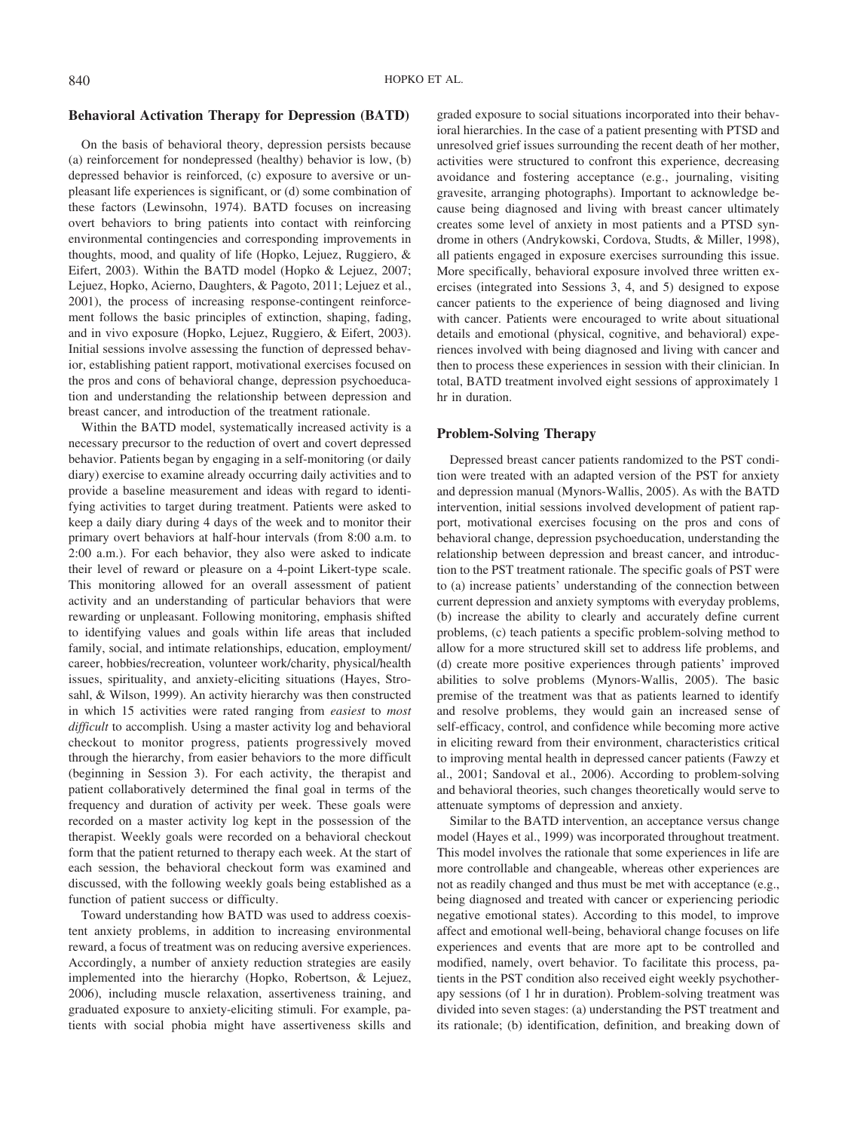#### **Behavioral Activation Therapy for Depression (BATD)**

On the basis of behavioral theory, depression persists because (a) reinforcement for nondepressed (healthy) behavior is low, (b) depressed behavior is reinforced, (c) exposure to aversive or unpleasant life experiences is significant, or (d) some combination of these factors (Lewinsohn, 1974). BATD focuses on increasing overt behaviors to bring patients into contact with reinforcing environmental contingencies and corresponding improvements in thoughts, mood, and quality of life (Hopko, Lejuez, Ruggiero, & Eifert, 2003). Within the BATD model (Hopko & Lejuez, 2007; Lejuez, Hopko, Acierno, Daughters, & Pagoto, 2011; Lejuez et al., 2001), the process of increasing response-contingent reinforcement follows the basic principles of extinction, shaping, fading, and in vivo exposure (Hopko, Lejuez, Ruggiero, & Eifert, 2003). Initial sessions involve assessing the function of depressed behavior, establishing patient rapport, motivational exercises focused on the pros and cons of behavioral change, depression psychoeducation and understanding the relationship between depression and breast cancer, and introduction of the treatment rationale.

Within the BATD model, systematically increased activity is a necessary precursor to the reduction of overt and covert depressed behavior. Patients began by engaging in a self-monitoring (or daily diary) exercise to examine already occurring daily activities and to provide a baseline measurement and ideas with regard to identifying activities to target during treatment. Patients were asked to keep a daily diary during 4 days of the week and to monitor their primary overt behaviors at half-hour intervals (from 8:00 a.m. to 2:00 a.m.). For each behavior, they also were asked to indicate their level of reward or pleasure on a 4-point Likert-type scale. This monitoring allowed for an overall assessment of patient activity and an understanding of particular behaviors that were rewarding or unpleasant. Following monitoring, emphasis shifted to identifying values and goals within life areas that included family, social, and intimate relationships, education, employment/ career, hobbies/recreation, volunteer work/charity, physical/health issues, spirituality, and anxiety-eliciting situations (Hayes, Strosahl, & Wilson, 1999). An activity hierarchy was then constructed in which 15 activities were rated ranging from *easiest* to *most difficult* to accomplish. Using a master activity log and behavioral checkout to monitor progress, patients progressively moved through the hierarchy, from easier behaviors to the more difficult (beginning in Session 3). For each activity, the therapist and patient collaboratively determined the final goal in terms of the frequency and duration of activity per week. These goals were recorded on a master activity log kept in the possession of the therapist. Weekly goals were recorded on a behavioral checkout form that the patient returned to therapy each week. At the start of each session, the behavioral checkout form was examined and discussed, with the following weekly goals being established as a function of patient success or difficulty.

Toward understanding how BATD was used to address coexistent anxiety problems, in addition to increasing environmental reward, a focus of treatment was on reducing aversive experiences. Accordingly, a number of anxiety reduction strategies are easily implemented into the hierarchy (Hopko, Robertson, & Lejuez, 2006), including muscle relaxation, assertiveness training, and graduated exposure to anxiety-eliciting stimuli. For example, patients with social phobia might have assertiveness skills and

graded exposure to social situations incorporated into their behavioral hierarchies. In the case of a patient presenting with PTSD and unresolved grief issues surrounding the recent death of her mother, activities were structured to confront this experience, decreasing avoidance and fostering acceptance (e.g., journaling, visiting gravesite, arranging photographs). Important to acknowledge because being diagnosed and living with breast cancer ultimately creates some level of anxiety in most patients and a PTSD syndrome in others (Andrykowski, Cordova, Studts, & Miller, 1998), all patients engaged in exposure exercises surrounding this issue. More specifically, behavioral exposure involved three written exercises (integrated into Sessions 3, 4, and 5) designed to expose cancer patients to the experience of being diagnosed and living with cancer. Patients were encouraged to write about situational details and emotional (physical, cognitive, and behavioral) experiences involved with being diagnosed and living with cancer and then to process these experiences in session with their clinician. In total, BATD treatment involved eight sessions of approximately 1 hr in duration.

# **Problem-Solving Therapy**

Depressed breast cancer patients randomized to the PST condition were treated with an adapted version of the PST for anxiety and depression manual (Mynors-Wallis, 2005). As with the BATD intervention, initial sessions involved development of patient rapport, motivational exercises focusing on the pros and cons of behavioral change, depression psychoeducation, understanding the relationship between depression and breast cancer, and introduction to the PST treatment rationale. The specific goals of PST were to (a) increase patients' understanding of the connection between current depression and anxiety symptoms with everyday problems, (b) increase the ability to clearly and accurately define current problems, (c) teach patients a specific problem-solving method to allow for a more structured skill set to address life problems, and (d) create more positive experiences through patients' improved abilities to solve problems (Mynors-Wallis, 2005). The basic premise of the treatment was that as patients learned to identify and resolve problems, they would gain an increased sense of self-efficacy, control, and confidence while becoming more active in eliciting reward from their environment, characteristics critical to improving mental health in depressed cancer patients (Fawzy et al., 2001; Sandoval et al., 2006). According to problem-solving and behavioral theories, such changes theoretically would serve to attenuate symptoms of depression and anxiety.

Similar to the BATD intervention, an acceptance versus change model (Hayes et al., 1999) was incorporated throughout treatment. This model involves the rationale that some experiences in life are more controllable and changeable, whereas other experiences are not as readily changed and thus must be met with acceptance (e.g., being diagnosed and treated with cancer or experiencing periodic negative emotional states). According to this model, to improve affect and emotional well-being, behavioral change focuses on life experiences and events that are more apt to be controlled and modified, namely, overt behavior. To facilitate this process, patients in the PST condition also received eight weekly psychotherapy sessions (of 1 hr in duration). Problem-solving treatment was divided into seven stages: (a) understanding the PST treatment and its rationale; (b) identification, definition, and breaking down of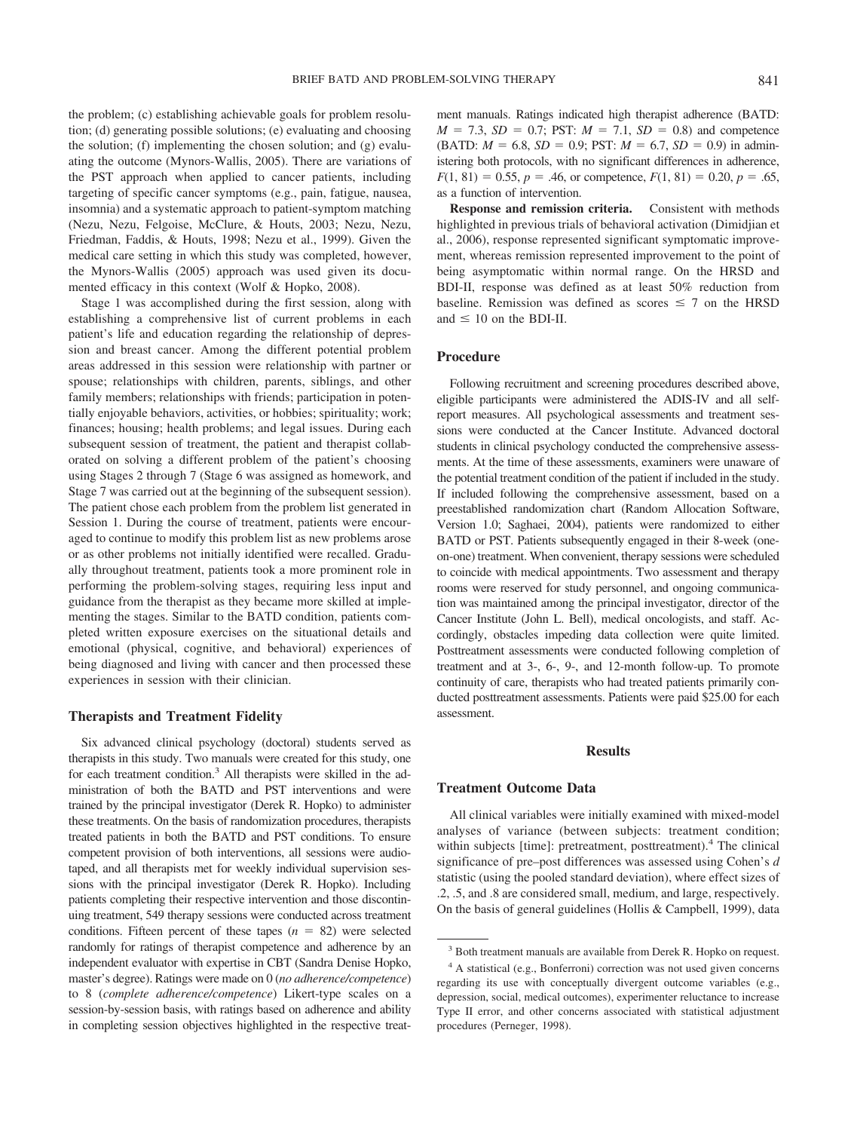the problem; (c) establishing achievable goals for problem resolution; (d) generating possible solutions; (e) evaluating and choosing the solution; (f) implementing the chosen solution; and (g) evaluating the outcome (Mynors-Wallis, 2005). There are variations of the PST approach when applied to cancer patients, including targeting of specific cancer symptoms (e.g., pain, fatigue, nausea, insomnia) and a systematic approach to patient-symptom matching (Nezu, Nezu, Felgoise, McClure, & Houts, 2003; Nezu, Nezu, Friedman, Faddis, & Houts, 1998; Nezu et al., 1999). Given the medical care setting in which this study was completed, however, the Mynors-Wallis (2005) approach was used given its documented efficacy in this context (Wolf & Hopko, 2008).

Stage 1 was accomplished during the first session, along with establishing a comprehensive list of current problems in each patient's life and education regarding the relationship of depression and breast cancer. Among the different potential problem areas addressed in this session were relationship with partner or spouse; relationships with children, parents, siblings, and other family members; relationships with friends; participation in potentially enjoyable behaviors, activities, or hobbies; spirituality; work; finances; housing; health problems; and legal issues. During each subsequent session of treatment, the patient and therapist collaborated on solving a different problem of the patient's choosing using Stages 2 through 7 (Stage 6 was assigned as homework, and Stage 7 was carried out at the beginning of the subsequent session). The patient chose each problem from the problem list generated in Session 1. During the course of treatment, patients were encouraged to continue to modify this problem list as new problems arose or as other problems not initially identified were recalled. Gradually throughout treatment, patients took a more prominent role in performing the problem-solving stages, requiring less input and guidance from the therapist as they became more skilled at implementing the stages. Similar to the BATD condition, patients completed written exposure exercises on the situational details and emotional (physical, cognitive, and behavioral) experiences of being diagnosed and living with cancer and then processed these experiences in session with their clinician.

# **Therapists and Treatment Fidelity**

Six advanced clinical psychology (doctoral) students served as therapists in this study. Two manuals were created for this study, one for each treatment condition.3 All therapists were skilled in the administration of both the BATD and PST interventions and were trained by the principal investigator (Derek R. Hopko) to administer these treatments. On the basis of randomization procedures, therapists treated patients in both the BATD and PST conditions. To ensure competent provision of both interventions, all sessions were audiotaped, and all therapists met for weekly individual supervision sessions with the principal investigator (Derek R. Hopko). Including patients completing their respective intervention and those discontinuing treatment, 549 therapy sessions were conducted across treatment conditions. Fifteen percent of these tapes  $(n = 82)$  were selected randomly for ratings of therapist competence and adherence by an independent evaluator with expertise in CBT (Sandra Denise Hopko, master's degree). Ratings were made on 0 (*no adherence/competence*) to 8 (*complete adherence/competence*) Likert-type scales on a session-by-session basis, with ratings based on adherence and ability in completing session objectives highlighted in the respective treatment manuals. Ratings indicated high therapist adherence (BATD:  $M = 7.3$ ,  $SD = 0.7$ ; PST:  $M = 7.1$ ,  $SD = 0.8$ ) and competence (BATD:  $M = 6.8$ ,  $SD = 0.9$ ; PST:  $M = 6.7$ ,  $SD = 0.9$ ) in administering both protocols, with no significant differences in adherence,  $F(1, 81) = 0.55$ ,  $p = .46$ , or competence,  $F(1, 81) = 0.20$ ,  $p = .65$ , as a function of intervention.

**Response and remission criteria.** Consistent with methods highlighted in previous trials of behavioral activation (Dimidjian et al., 2006), response represented significant symptomatic improvement, whereas remission represented improvement to the point of being asymptomatic within normal range. On the HRSD and BDI-II, response was defined as at least 50% reduction from baseline. Remission was defined as scores  $\leq$  7 on the HRSD and  $\leq 10$  on the BDI-II.

#### **Procedure**

Following recruitment and screening procedures described above, eligible participants were administered the ADIS-IV and all selfreport measures. All psychological assessments and treatment sessions were conducted at the Cancer Institute. Advanced doctoral students in clinical psychology conducted the comprehensive assessments. At the time of these assessments, examiners were unaware of the potential treatment condition of the patient if included in the study. If included following the comprehensive assessment, based on a preestablished randomization chart (Random Allocation Software, Version 1.0; Saghaei, 2004), patients were randomized to either BATD or PST. Patients subsequently engaged in their 8-week (oneon-one) treatment. When convenient, therapy sessions were scheduled to coincide with medical appointments. Two assessment and therapy rooms were reserved for study personnel, and ongoing communication was maintained among the principal investigator, director of the Cancer Institute (John L. Bell), medical oncologists, and staff. Accordingly, obstacles impeding data collection were quite limited. Posttreatment assessments were conducted following completion of treatment and at 3-, 6-, 9-, and 12-month follow-up. To promote continuity of care, therapists who had treated patients primarily conducted posttreatment assessments. Patients were paid \$25.00 for each assessment.

#### **Results**

#### **Treatment Outcome Data**

All clinical variables were initially examined with mixed-model analyses of variance (between subjects: treatment condition; within subjects [time]: pretreatment, posttreatment).<sup>4</sup> The clinical significance of pre–post differences was assessed using Cohen's *d* statistic (using the pooled standard deviation), where effect sizes of .2, .5, and .8 are considered small, medium, and large, respectively. On the basis of general guidelines (Hollis & Campbell, 1999), data

<sup>3</sup> Both treatment manuals are available from Derek R. Hopko on request.

<sup>4</sup> A statistical (e.g., Bonferroni) correction was not used given concerns regarding its use with conceptually divergent outcome variables (e.g., depression, social, medical outcomes), experimenter reluctance to increase Type II error, and other concerns associated with statistical adjustment procedures (Perneger, 1998).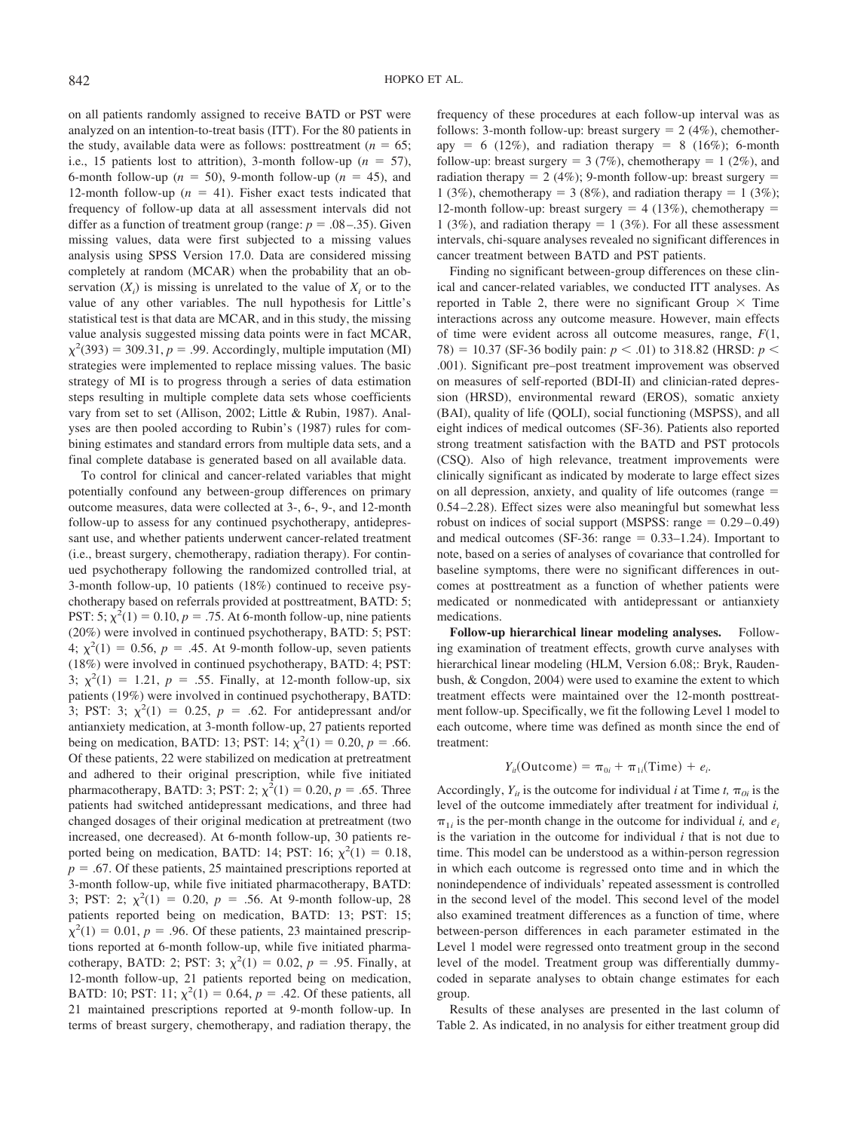on all patients randomly assigned to receive BATD or PST were analyzed on an intention-to-treat basis (ITT). For the 80 patients in the study, available data were as follows: posttreatment ( $n = 65$ ; i.e., 15 patients lost to attrition), 3-month follow-up  $(n = 57)$ , 6-month follow-up ( $n = 50$ ), 9-month follow-up ( $n = 45$ ), and 12-month follow-up  $(n = 41)$ . Fisher exact tests indicated that frequency of follow-up data at all assessment intervals did not differ as a function of treatment group (range:  $p = .08 - .35$ ). Given missing values, data were first subjected to a missing values analysis using SPSS Version 17.0. Data are considered missing completely at random (MCAR) when the probability that an observation  $(X_i)$  is missing is unrelated to the value of  $X_i$  or to the value of any other variables. The null hypothesis for Little's statistical test is that data are MCAR, and in this study, the missing value analysis suggested missing data points were in fact MCAR,  $\chi^2(393) = 309.31, p = .99$ . Accordingly, multiple imputation (MI) strategies were implemented to replace missing values. The basic strategy of MI is to progress through a series of data estimation steps resulting in multiple complete data sets whose coefficients vary from set to set (Allison, 2002; Little & Rubin, 1987). Analyses are then pooled according to Rubin's (1987) rules for combining estimates and standard errors from multiple data sets, and a final complete database is generated based on all available data.

To control for clinical and cancer-related variables that might potentially confound any between-group differences on primary outcome measures, data were collected at 3-, 6-, 9-, and 12-month follow-up to assess for any continued psychotherapy, antidepressant use, and whether patients underwent cancer-related treatment (i.e., breast surgery, chemotherapy, radiation therapy). For continued psychotherapy following the randomized controlled trial, at 3-month follow-up, 10 patients (18%) continued to receive psychotherapy based on referrals provided at posttreatment, BATD: 5; PST: 5;  $\chi^2(1) = 0.10, p = .75$ . At 6-month follow-up, nine patients (20%) were involved in continued psychotherapy, BATD: 5; PST: 4;  $\chi^2(1) = 0.56$ ,  $p = .45$ . At 9-month follow-up, seven patients (18%) were involved in continued psychotherapy, BATD: 4; PST: 3;  $\chi^2(1) = 1.21$ ,  $p = .55$ . Finally, at 12-month follow-up, six patients (19%) were involved in continued psychotherapy, BATD: 3; PST: 3;  $\chi^2(1) = 0.25$ ,  $p = .62$ . For antidepressant and/or antianxiety medication, at 3-month follow-up, 27 patients reported being on medication, BATD: 13; PST: 14;  $\chi^2(1) = 0.20$ ,  $p = .66$ . Of these patients, 22 were stabilized on medication at pretreatment and adhered to their original prescription, while five initiated pharmacotherapy, BATD: 3; PST: 2;  $\chi^2(1) = 0.20$ ,  $p = .65$ . Three patients had switched antidepressant medications, and three had changed dosages of their original medication at pretreatment (two increased, one decreased). At 6-month follow-up, 30 patients reported being on medication, BATD: 14; PST: 16;  $\chi^2(1) = 0.18$ ,  $p = .67$ . Of these patients, 25 maintained prescriptions reported at 3-month follow-up, while five initiated pharmacotherapy, BATD: 3; PST: 2;  $\chi^2(1) = 0.20$ ,  $p = .56$ . At 9-month follow-up, 28 patients reported being on medication, BATD: 13; PST: 15;  $\chi^2(1) = 0.01$ ,  $p = .96$ . Of these patients, 23 maintained prescriptions reported at 6-month follow-up, while five initiated pharmacotherapy, BATD: 2; PST: 3;  $\chi^2(1) = 0.02$ ,  $p = .95$ . Finally, at 12-month follow-up, 21 patients reported being on medication, BATD: 10; PST: 11;  $\chi^2(1) = 0.64$ ,  $p = .42$ . Of these patients, all 21 maintained prescriptions reported at 9-month follow-up. In terms of breast surgery, chemotherapy, and radiation therapy, the

frequency of these procedures at each follow-up interval was as follows: 3-month follow-up: breast surgery  $= 2 (4\%)$ , chemotherapy = 6 (12%), and radiation therapy = 8 (16%); 6-month follow-up: breast surgery = 3 (7%), chemotherapy = 1 (2%), and radiation therapy =  $2(4\%)$ ; 9-month follow-up: breast surgery = 1 (3%), chemotherapy = 3 (8%), and radiation therapy = 1 (3%); 12-month follow-up: breast surgery  $=$  4 (13%), chemotherapy  $=$ 1 (3%), and radiation therapy  $= 1$  (3%). For all these assessment intervals, chi-square analyses revealed no significant differences in cancer treatment between BATD and PST patients.

Finding no significant between-group differences on these clinical and cancer-related variables, we conducted ITT analyses. As reported in Table 2, there were no significant Group  $\times$  Time interactions across any outcome measure. However, main effects of time were evident across all outcome measures, range, *F*(1, 78) = 10.37 (SF-36 bodily pain:  $p < .01$ ) to 318.82 (HRSD:  $p <$ .001). Significant pre–post treatment improvement was observed on measures of self-reported (BDI-II) and clinician-rated depression (HRSD), environmental reward (EROS), somatic anxiety (BAI), quality of life (QOLI), social functioning (MSPSS), and all eight indices of medical outcomes (SF-36). Patients also reported strong treatment satisfaction with the BATD and PST protocols (CSQ). Also of high relevance, treatment improvements were clinically significant as indicated by moderate to large effect sizes on all depression, anxiety, and quality of life outcomes (range 0.54 –2.28). Effect sizes were also meaningful but somewhat less robust on indices of social support (MSPSS: range  $= 0.29 - 0.49$ ) and medical outcomes (SF-36: range  $= 0.33-1.24$ ). Important to note, based on a series of analyses of covariance that controlled for baseline symptoms, there were no significant differences in outcomes at posttreatment as a function of whether patients were medicated or nonmedicated with antidepressant or antianxiety medications.

**Follow-up hierarchical linear modeling analyses.** Following examination of treatment effects, growth curve analyses with hierarchical linear modeling (HLM, Version 6.08;: Bryk, Raudenbush, & Congdon, 2004) were used to examine the extent to which treatment effects were maintained over the 12-month posttreatment follow-up. Specifically, we fit the following Level 1 model to each outcome, where time was defined as month since the end of treatment:

# $Y_{ii}$ (Outcome) =  $\pi_{0i} + \pi_{1i}$ (Time) +  $e_i$ .

Accordingly,  $Y_{it}$  is the outcome for individual *i* at Time *t*,  $\pi_{0i}$  is the level of the outcome immediately after treatment for individual *i,*  $\pi_{1i}$  is the per-month change in the outcome for individual *i*, and *e<sub>i</sub>* is the variation in the outcome for individual *i* that is not due to time. This model can be understood as a within-person regression in which each outcome is regressed onto time and in which the nonindependence of individuals' repeated assessment is controlled in the second level of the model. This second level of the model also examined treatment differences as a function of time, where between-person differences in each parameter estimated in the Level 1 model were regressed onto treatment group in the second level of the model. Treatment group was differentially dummycoded in separate analyses to obtain change estimates for each group.

Results of these analyses are presented in the last column of Table 2. As indicated, in no analysis for either treatment group did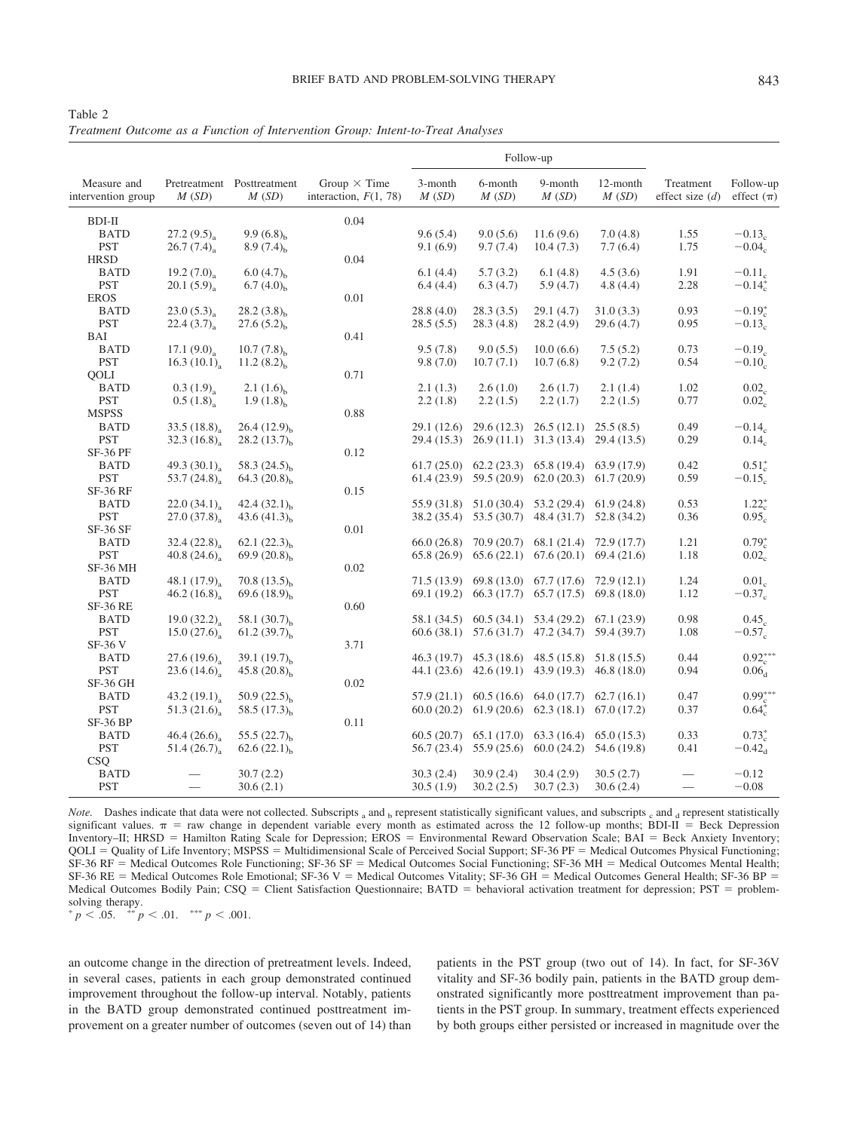| Table 2 |  |  |  |                                                                                 |  |
|---------|--|--|--|---------------------------------------------------------------------------------|--|
|         |  |  |  | Treatment Outcome as a Function of Intervention Group: Intent-to-Treat Analyses |  |

|                                   |                            |                                     |                                                |                  | Follow-up                              |                  |                   |                                |                             |
|-----------------------------------|----------------------------|-------------------------------------|------------------------------------------------|------------------|----------------------------------------|------------------|-------------------|--------------------------------|-----------------------------|
| Measure and<br>intervention group | M(SD)                      | Pretreatment Posttreatment<br>M(SD) | Group $\times$ Time<br>interaction, $F(1, 78)$ | 3-month<br>M(SD) | 6-month<br>M(SD)                       | 9-month<br>M(SD) | 12-month<br>M(SD) | Treatment<br>effect size $(d)$ | Follow-up<br>effect $(\pi)$ |
| BDI-II                            |                            |                                     | 0.04                                           |                  |                                        |                  |                   |                                |                             |
| <b>BATD</b>                       | 27.2 $(9.5)_{a}$           | 9.9 $(6.8)_{h}$                     |                                                | 9.6(5.4)         | 9.0(5.6)                               | 11.6(9.6)        | 7.0(4.8)          | 1.55                           | $-0.13_c$                   |
| <b>PST</b>                        | $26.7(7.4)_{\rm a}$        | $8.9(7.4)_{b}$                      |                                                | 9.1(6.9)         | 9.7(7.4)                               | 10.4(7.3)        | 7.7(6.4)          | 1.75                           | $-0.04_c$                   |
| <b>HRSD</b>                       |                            |                                     | 0.04                                           |                  |                                        |                  |                   |                                |                             |
| <b>BATD</b>                       | $19.2(7.0)$ <sub>2</sub>   | $6.0(4.7)_{b}$                      |                                                | 6.1(4.4)         | 5.7(3.2)                               | 6.1(4.8)         | 4.5(3.6)          | 1.91                           | $-0.11_c$                   |
| <b>PST</b>                        | $20.1(5.9)_{\rm a}$        | $6.7(4.0)_{h}$                      |                                                | 6.4(4.4)         | 6.3(4.7)                               | 5.9(4.7)         | 4.8(4.4)          | 2.28                           | $-0.14_{c}^{*}$             |
| <b>EROS</b>                       |                            |                                     | 0.01                                           |                  |                                        |                  |                   |                                |                             |
| <b>BATD</b>                       | $23.0(5.3)_{\rm a}$        | $28.2(3.8)_{h}$                     |                                                | 28.8(4.0)        | 28.3(3.5)                              | 29.1(4.7)        | 31.0(3.3)         | 0.93                           | $-0.19_c^*$                 |
| <b>PST</b>                        | 22.4(3.7)                  | $27.6(5.2)_{h}$                     |                                                | 28.5(5.5)        | 28.3(4.8)                              | 28.2(4.9)        | 29.6(4.7)         | 0.95                           | $-0.13_c$                   |
| BAI                               |                            |                                     | 0.41                                           |                  |                                        |                  |                   |                                |                             |
| <b>BATD</b>                       | $17.1(9.0)$ <sub>2</sub>   | $10.7(7.8)_{h}$                     |                                                | 9.5(7.8)         | 9.0(5.5)                               | 10.0(6.6)        | 7.5(5.2)          | 0.73                           | $-0.19c$                    |
| <b>PST</b>                        | 16.3 $(10.1)_{a}$          | 11.2 $(8.2)_{h}$                    |                                                | 9.8(7.0)         | 10.7(7.1)                              | 10.7(6.8)        | 9.2(7.2)          | 0.54                           | $-0.10_c$                   |
| <b>OOLI</b>                       |                            |                                     | 0.71                                           |                  |                                        |                  |                   |                                |                             |
| <b>BATD</b>                       | $0.3(1.9)_{a}$             | $2.1(1.6)_{b}$                      |                                                | 2.1(1.3)         | 2.6(1.0)                               | 2.6(1.7)         | 2.1(1.4)          | 1.02                           | 0.02 <sub>c</sub>           |
| <b>PST</b>                        | $0.5(1.8)$ <sub>a</sub>    | $1.9(1.8)_{b}$                      |                                                | 2.2(1.8)         | 2.2(1.5)                               | 2.2(1.7)         | 2.2(1.5)          | 0.77                           | $0.02_c$                    |
| <b>MSPSS</b>                      |                            |                                     | 0.88                                           |                  |                                        |                  |                   |                                |                             |
| <b>BATD</b>                       | $33.5(18.8)$ <sub>2</sub>  | $26.4(12.9)_{h}$                    |                                                | 29.1 (12.6)      | 29.6(12.3)                             | 26.5(12.1)       | 25.5(8.5)         | 0.49                           | $-0.14c$                    |
| <b>PST</b>                        | $32.3(16.8)$ <sub>2</sub>  | 28.2 $(13.7)_{h}$                   |                                                | 29.4 (15.3)      | 26.9(11.1)                             | 31.3(13.4)       | 29.4(13.5)        | 0.29                           | $0.14_c$                    |
| <b>SF-36 PF</b>                   |                            |                                     | 0.12                                           |                  |                                        |                  |                   |                                |                             |
| <b>BATD</b>                       | $49.3(30.1)$ <sub>2</sub>  | 58.3 $(24.5)_{h}$                   |                                                |                  | $61.7(25.0)$ $62.2(23.3)$ $65.8(19.4)$ |                  | 63.9 (17.9)       | 0.42                           | $0.51_{c}^{*}$              |
| <b>PST</b>                        | 53.7 $(24.8)_{a}$          | 64.3 $(20.8)_{h}$                   |                                                |                  | $61.4(23.9)$ $59.5(20.9)$ $62.0(20.3)$ |                  | 61.7(20.9)        | 0.59                           | $-0.15_c$                   |
| <b>SF-36 RF</b>                   |                            |                                     | 0.15                                           |                  |                                        |                  |                   |                                |                             |
|                                   |                            | 42.4 $(32.1)_{b}$                   |                                                |                  | 55.9 (31.8) 51.0 (30.4) 53.2 (29.4)    |                  | 61.9(24.8)        | 0.53                           |                             |
| <b>BATD</b>                       | $22.0(34.1)$ <sub>a</sub>  |                                     |                                                |                  |                                        |                  |                   |                                | $1.22_c^*$                  |
| <b>PST</b>                        | $27.0(37.8)$ <sub>2</sub>  | 43.6 $(41.3)_{h}$                   |                                                |                  | 38.2 (35.4) 53.5 (30.7) 48.4 (31.7)    |                  | 52.8 (34.2)       | 0.36                           | $0.95_c$                    |
| <b>SF-36 SF</b>                   |                            |                                     | 0.01                                           |                  |                                        |                  |                   |                                |                             |
| <b>BATD</b>                       | 32.4(22.8)                 | $62.1(22.3)_{h}$                    |                                                | 66.0(26.8)       | 70.9(20.7)                             | 68.1(21.4)       | 72.9 (17.7)       | 1.21                           | $0.79_c^*$                  |
| <b>PST</b>                        | 40.8(24.6)                 | 69.9 $(20.8)_{h}$                   |                                                | 65.8(26.9)       | 65.6(22.1)                             | 67.6(20.1)       | 69.4(21.6)        | 1.18                           | $0.02_c$                    |
| <b>SF-36 MH</b>                   |                            |                                     | 0.02                                           |                  |                                        |                  |                   |                                |                             |
| <b>BATD</b>                       | 48.1 $(17.9)_{a}$          | 70.8 $(13.5)_{h}$                   |                                                | 71.5 (13.9)      | 69.8(13.0)                             | 67.7(17.6)       | 72.9(12.1)        | 1.24                           | 0.01 <sub>c</sub>           |
| <b>PST</b>                        | 46.2(16.8)                 | $69.6(18.9)_{h}$                    |                                                | 69.1 (19.2)      | 66.3 (17.7)                            | 65.7(17.5)       | 69.8(18.0)        | 1.12                           | $-0.37_c$                   |
| <b>SF-36 RE</b>                   |                            |                                     | 0.60                                           |                  |                                        |                  |                   |                                |                             |
| <b>BATD</b>                       | 19.0(32.2)                 | 58.1 $(30.7)_{h}$                   |                                                |                  | 58.1 (34.5) 60.5 (34.1) 53.4 (29.2)    |                  | 67.1(23.9)        | 0.98                           | $0.45_c$                    |
| <b>PST</b>                        | 15.0 $(27.6)_{\text{a}}$   | 61.2 $(39.7)_{b}$                   |                                                | 60.6(38.1)       | $57.6(31.7)$ $47.2(34.7)$              |                  | 59.4 (39.7)       | 1.08                           | $-0.57_c$                   |
| <b>SF-36 V</b>                    |                            |                                     | 3.71                                           |                  |                                        |                  |                   |                                |                             |
| <b>BATD</b>                       | 27.6 $(19.6)_{a}$          | 39.1 $(19.7)_{h}$                   |                                                |                  | 46.3 (19.7) 45.3 (18.6) 48.5 (15.8)    |                  | 51.8(15.5)        | 0.44                           | $0.92_c^{***}$              |
| <b>PST</b>                        | 23.6(14.6)                 | 45.8 $(20.8)_{h}$                   |                                                |                  | 44.1 (23.6) 42.6 (19.1) 43.9 (19.3)    |                  | 46.8(18.0)        | 0.94                           | $0.06_{\rm d}$              |
| <b>SF-36 GH</b>                   |                            |                                     | 0.02                                           |                  |                                        |                  |                   |                                |                             |
| <b>BATD</b>                       | 43.2 $(19.1)$ <sub>a</sub> | 50.9 $(22.5)_{b}$                   |                                                | 57.9 (21.1)      | $60.5(16.6)$ $64.0(17.7)$              |                  | 62.7(16.1)        | 0.47                           | $0.99_c^{***}$              |
| <b>PST</b>                        | $51.3(21.6)$ <sub>2</sub>  | 58.5 $(17.3)_{h}$                   |                                                |                  | $60.0(20.2)$ $61.9(20.6)$ $62.3(18.1)$ |                  | 67.0(17.2)        | 0.37                           | $0.64_c^{*}$                |
| <b>SF-36 BP</b>                   |                            |                                     | 0.11                                           |                  |                                        |                  |                   |                                |                             |
| <b>BATD</b>                       | 46.4(26.6)                 | 55.5 $(22.7)_{h}$                   |                                                | 60.5(20.7)       | 65.1(17.0)                             | 63.3(16.4)       | 65.0(15.3)        | 0.33                           | $0.73_c^*$                  |
| <b>PST</b>                        | $51.4(26.7)_{\rm a}$       | 62.6 $(22.1)$ <sub>b</sub>          |                                                | 56.7(23.4)       | 55.9(25.6)                             | 60.0(24.2)       | 54.6 (19.8)       | 0.41                           | $-0.42_{d}$                 |
| <b>CSQ</b>                        |                            |                                     |                                                |                  |                                        |                  |                   |                                |                             |
| <b>BATD</b>                       |                            | 30.7(2.2)                           |                                                | 30.3(2.4)        | 30.9(2.4)                              | 30.4(2.9)        | 30.5(2.7)         | $\overline{\phantom{0}}$       | $-0.12$                     |
| <b>PST</b>                        | $\overline{\phantom{0}}$   | 30.6(2.1)                           |                                                | 30.5(1.9)        | 30.2(2.5)                              | 30.7(2.3)        | 30.6(2.4)         |                                | $-0.08$                     |

*Note.* Dashes indicate that data were not collected. Subscripts <sub>a</sub> and <sub>b</sub> represent statistically significant values, and subscripts c and d represent statistically significant values.  $\pi$  = raw change in dependent variable every month as estimated across the 12 follow-up months; BDI-II = Beck Depression Inventory–II; HRSD = Hamilton Rating Scale for Depression; EROS = Environmental Reward Observation Scale; BAI = Beck Anxiety Inventory;  $QOLI = Quality$  of Life Inventory; MSPSS = Multidimensional Scale of Perceived Social Support; SF-36 PF = Medical Outcomes Physical Functioning; SF-36 RF = Medical Outcomes Role Functioning; SF-36 SF = Medical Outcomes Social Functioning; SF-36 MH = Medical Outcomes Mental Health;  $SF-36$  RE = Medical Outcomes Role Emotional;  $SF-36$  V = Medical Outcomes Vitality;  $SF-36$  GH = Medical Outcomes General Health;  $SF-36$  BP = Medical Outcomes Bodily Pain; CSQ = Client Satisfaction Questionnaire; BATD = behavioral activation treatment for depression; PST = problemsolving therapy.  $p < .05.$   $\stackrel{\ast}{p} < .01.$   $\stackrel{\ast}{p} < .001.$ 

an outcome change in the direction of pretreatment levels. Indeed, in several cases, patients in each group demonstrated continued improvement throughout the follow-up interval. Notably, patients in the BATD group demonstrated continued posttreatment improvement on a greater number of outcomes (seven out of 14) than

patients in the PST group (two out of 14). In fact, for SF-36V vitality and SF-36 bodily pain, patients in the BATD group demonstrated significantly more posttreatment improvement than patients in the PST group. In summary, treatment effects experienced by both groups either persisted or increased in magnitude over the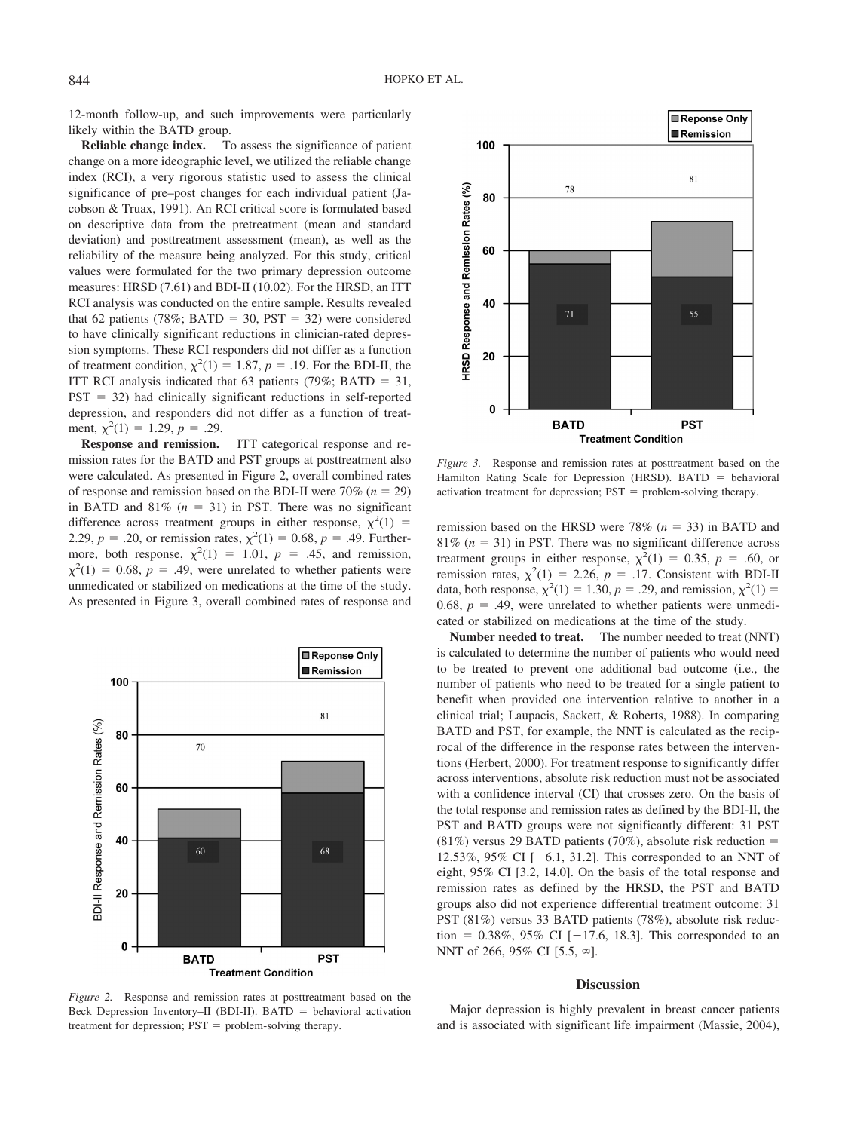12-month follow-up, and such improvements were particularly likely within the BATD group.

**Reliable change index.** To assess the significance of patient change on a more ideographic level, we utilized the reliable change index (RCI), a very rigorous statistic used to assess the clinical significance of pre–post changes for each individual patient (Jacobson & Truax, 1991). An RCI critical score is formulated based on descriptive data from the pretreatment (mean and standard deviation) and posttreatment assessment (mean), as well as the reliability of the measure being analyzed. For this study, critical values were formulated for the two primary depression outcome measures: HRSD (7.61) and BDI-II (10.02). For the HRSD, an ITT RCI analysis was conducted on the entire sample. Results revealed that 62 patients (78%; BATD = 30, PST = 32) were considered to have clinically significant reductions in clinician-rated depression symptoms. These RCI responders did not differ as a function of treatment condition,  $\chi^2(1) = 1.87$ ,  $p = .19$ . For the BDI-II, the ITT RCI analysis indicated that 63 patients (79%; BATD  $=$  31,  $PST = 32$ ) had clinically significant reductions in self-reported depression, and responders did not differ as a function of treatment,  $\chi^2(1) = 1.29$ ,  $p = .29$ .

**Response and remission.** ITT categorical response and remission rates for the BATD and PST groups at posttreatment also were calculated. As presented in Figure 2, overall combined rates of response and remission based on the BDI-II were  $70\%$  ( $n = 29$ ) in BATD and  $81\%$  ( $n = 31$ ) in PST. There was no significant difference across treatment groups in either response,  $\chi^2(1)$  = 2.29,  $p = .20$ , or remission rates,  $\chi^2(1) = 0.68$ ,  $p = .49$ . Furthermore, both response,  $\chi^2(1) = 1.01$ ,  $p = .45$ , and remission,  $\chi^2(1) = 0.68$ ,  $p = .49$ , were unrelated to whether patients were unmedicated or stabilized on medications at the time of the study. As presented in Figure 3, overall combined rates of response and







*Figure 3.* Response and remission rates at posttreatment based on the Hamilton Rating Scale for Depression (HRSD). BATD  $=$  behavioral activation treatment for depression;  $PST =$  problem-solving therapy.

remission based on the HRSD were  $78\%$  ( $n = 33$ ) in BATD and 81%  $(n = 31)$  in PST. There was no significant difference across treatment groups in either response,  $\chi^2(1) = 0.35$ ,  $p = .60$ , or remission rates,  $\chi^2(1) = 2.26$ ,  $p = .17$ . Consistent with BDI-II data, both response,  $\chi^2(1) = 1.30, p = .29$ , and remission,  $\chi^2(1) =$ 0.68,  $p = .49$ , were unrelated to whether patients were unmedicated or stabilized on medications at the time of the study.

**Number needed to treat.** The number needed to treat (NNT) is calculated to determine the number of patients who would need to be treated to prevent one additional bad outcome (i.e., the number of patients who need to be treated for a single patient to benefit when provided one intervention relative to another in a clinical trial; Laupacis, Sackett, & Roberts, 1988). In comparing BATD and PST, for example, the NNT is calculated as the reciprocal of the difference in the response rates between the interventions (Herbert, 2000). For treatment response to significantly differ across interventions, absolute risk reduction must not be associated with a confidence interval (CI) that crosses zero. On the basis of the total response and remission rates as defined by the BDI-II, the PST and BATD groups were not significantly different: 31 PST (81%) versus 29 BATD patients (70%), absolute risk reduction  $=$ 12.53%,  $95\%$  CI [-6.1, 31.2]. This corresponded to an NNT of eight, 95% CI [3.2, 14.0]. On the basis of the total response and remission rates as defined by the HRSD, the PST and BATD groups also did not experience differential treatment outcome: 31 PST (81%) versus 33 BATD patients (78%), absolute risk reduction =  $0.38\%$ , 95% CI [-17.6, 18.3]. This corresponded to an NNT of 266, 95% CI [5.5,  $\infty$ ].

#### **Discussion**

Major depression is highly prevalent in breast cancer patients and is associated with significant life impairment (Massie, 2004),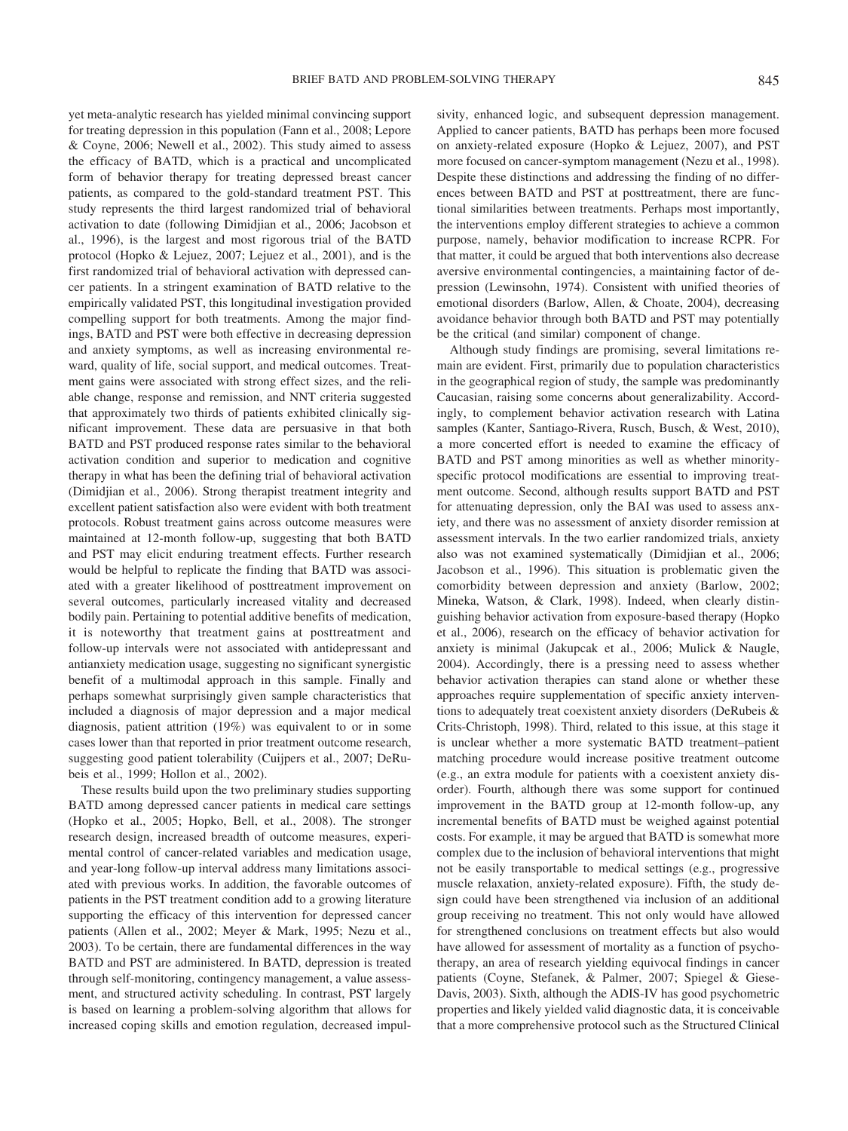yet meta-analytic research has yielded minimal convincing support for treating depression in this population (Fann et al., 2008; Lepore & Coyne, 2006; Newell et al., 2002). This study aimed to assess the efficacy of BATD, which is a practical and uncomplicated form of behavior therapy for treating depressed breast cancer patients, as compared to the gold-standard treatment PST. This study represents the third largest randomized trial of behavioral activation to date (following Dimidjian et al., 2006; Jacobson et al., 1996), is the largest and most rigorous trial of the BATD protocol (Hopko & Lejuez, 2007; Lejuez et al., 2001), and is the first randomized trial of behavioral activation with depressed cancer patients. In a stringent examination of BATD relative to the empirically validated PST, this longitudinal investigation provided compelling support for both treatments. Among the major findings, BATD and PST were both effective in decreasing depression and anxiety symptoms, as well as increasing environmental reward, quality of life, social support, and medical outcomes. Treatment gains were associated with strong effect sizes, and the reliable change, response and remission, and NNT criteria suggested that approximately two thirds of patients exhibited clinically significant improvement. These data are persuasive in that both BATD and PST produced response rates similar to the behavioral activation condition and superior to medication and cognitive therapy in what has been the defining trial of behavioral activation (Dimidjian et al., 2006). Strong therapist treatment integrity and excellent patient satisfaction also were evident with both treatment protocols. Robust treatment gains across outcome measures were maintained at 12-month follow-up, suggesting that both BATD and PST may elicit enduring treatment effects. Further research would be helpful to replicate the finding that BATD was associated with a greater likelihood of posttreatment improvement on several outcomes, particularly increased vitality and decreased bodily pain. Pertaining to potential additive benefits of medication, it is noteworthy that treatment gains at posttreatment and follow-up intervals were not associated with antidepressant and antianxiety medication usage, suggesting no significant synergistic benefit of a multimodal approach in this sample. Finally and perhaps somewhat surprisingly given sample characteristics that included a diagnosis of major depression and a major medical diagnosis, patient attrition (19%) was equivalent to or in some cases lower than that reported in prior treatment outcome research, suggesting good patient tolerability (Cuijpers et al., 2007; DeRubeis et al., 1999; Hollon et al., 2002).

These results build upon the two preliminary studies supporting BATD among depressed cancer patients in medical care settings (Hopko et al., 2005; Hopko, Bell, et al., 2008). The stronger research design, increased breadth of outcome measures, experimental control of cancer-related variables and medication usage, and year-long follow-up interval address many limitations associated with previous works. In addition, the favorable outcomes of patients in the PST treatment condition add to a growing literature supporting the efficacy of this intervention for depressed cancer patients (Allen et al., 2002; Meyer & Mark, 1995; Nezu et al., 2003). To be certain, there are fundamental differences in the way BATD and PST are administered. In BATD, depression is treated through self-monitoring, contingency management, a value assessment, and structured activity scheduling. In contrast, PST largely is based on learning a problem-solving algorithm that allows for increased coping skills and emotion regulation, decreased impulsivity, enhanced logic, and subsequent depression management. Applied to cancer patients, BATD has perhaps been more focused on anxiety-related exposure (Hopko & Lejuez, 2007), and PST more focused on cancer-symptom management (Nezu et al., 1998). Despite these distinctions and addressing the finding of no differences between BATD and PST at posttreatment, there are functional similarities between treatments. Perhaps most importantly, the interventions employ different strategies to achieve a common purpose, namely, behavior modification to increase RCPR. For that matter, it could be argued that both interventions also decrease aversive environmental contingencies, a maintaining factor of depression (Lewinsohn, 1974). Consistent with unified theories of emotional disorders (Barlow, Allen, & Choate, 2004), decreasing avoidance behavior through both BATD and PST may potentially be the critical (and similar) component of change.

Although study findings are promising, several limitations remain are evident. First, primarily due to population characteristics in the geographical region of study, the sample was predominantly Caucasian, raising some concerns about generalizability. Accordingly, to complement behavior activation research with Latina samples (Kanter, Santiago-Rivera, Rusch, Busch, & West, 2010), a more concerted effort is needed to examine the efficacy of BATD and PST among minorities as well as whether minorityspecific protocol modifications are essential to improving treatment outcome. Second, although results support BATD and PST for attenuating depression, only the BAI was used to assess anxiety, and there was no assessment of anxiety disorder remission at assessment intervals. In the two earlier randomized trials, anxiety also was not examined systematically (Dimidjian et al., 2006; Jacobson et al., 1996). This situation is problematic given the comorbidity between depression and anxiety (Barlow, 2002; Mineka, Watson, & Clark, 1998). Indeed, when clearly distinguishing behavior activation from exposure-based therapy (Hopko et al., 2006), research on the efficacy of behavior activation for anxiety is minimal (Jakupcak et al., 2006; Mulick & Naugle, 2004). Accordingly, there is a pressing need to assess whether behavior activation therapies can stand alone or whether these approaches require supplementation of specific anxiety interventions to adequately treat coexistent anxiety disorders (DeRubeis & Crits-Christoph, 1998). Third, related to this issue, at this stage it is unclear whether a more systematic BATD treatment–patient matching procedure would increase positive treatment outcome (e.g., an extra module for patients with a coexistent anxiety disorder). Fourth, although there was some support for continued improvement in the BATD group at 12-month follow-up, any incremental benefits of BATD must be weighed against potential costs. For example, it may be argued that BATD is somewhat more complex due to the inclusion of behavioral interventions that might not be easily transportable to medical settings (e.g., progressive muscle relaxation, anxiety-related exposure). Fifth, the study design could have been strengthened via inclusion of an additional group receiving no treatment. This not only would have allowed for strengthened conclusions on treatment effects but also would have allowed for assessment of mortality as a function of psychotherapy, an area of research yielding equivocal findings in cancer patients (Coyne, Stefanek, & Palmer, 2007; Spiegel & Giese-Davis, 2003). Sixth, although the ADIS-IV has good psychometric properties and likely yielded valid diagnostic data, it is conceivable that a more comprehensive protocol such as the Structured Clinical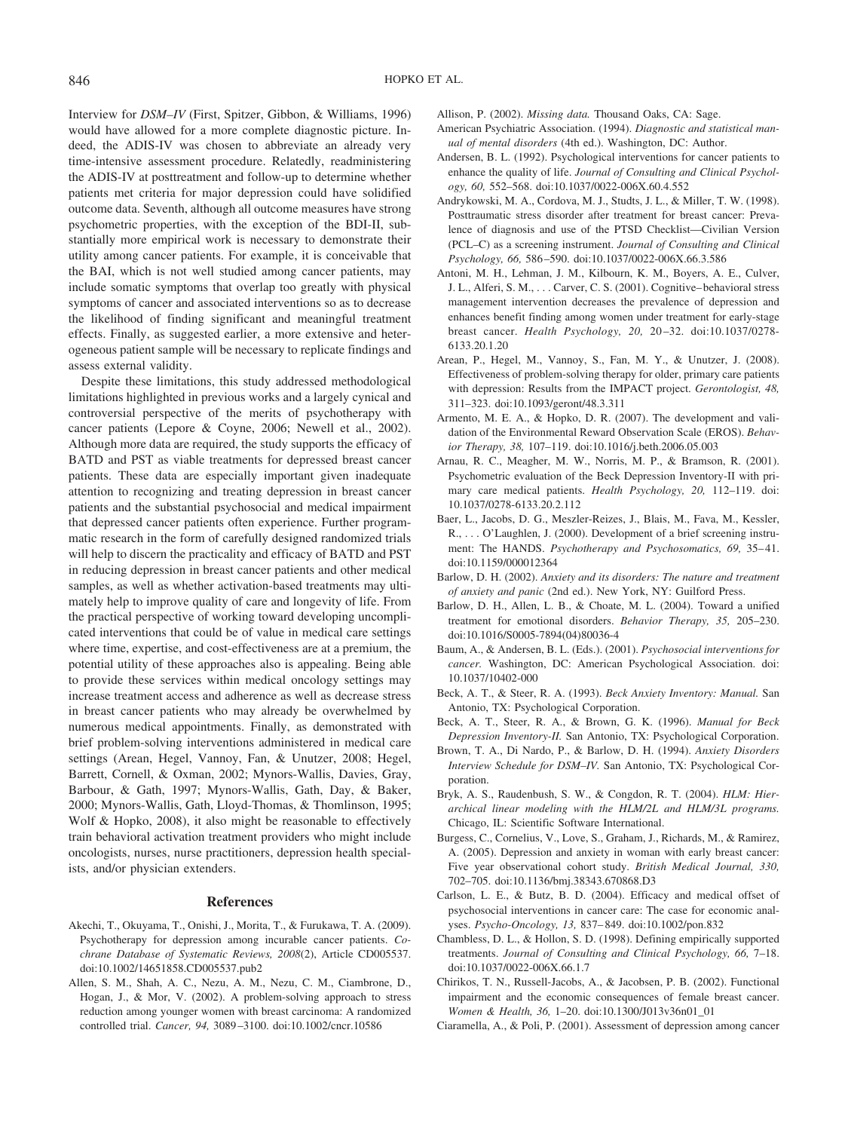Interview for *DSM–IV* (First, Spitzer, Gibbon, & Williams, 1996) would have allowed for a more complete diagnostic picture. Indeed, the ADIS-IV was chosen to abbreviate an already very time-intensive assessment procedure. Relatedly, readministering the ADIS-IV at posttreatment and follow-up to determine whether patients met criteria for major depression could have solidified outcome data. Seventh, although all outcome measures have strong psychometric properties, with the exception of the BDI-II, substantially more empirical work is necessary to demonstrate their utility among cancer patients. For example, it is conceivable that the BAI, which is not well studied among cancer patients, may include somatic symptoms that overlap too greatly with physical symptoms of cancer and associated interventions so as to decrease the likelihood of finding significant and meaningful treatment effects. Finally, as suggested earlier, a more extensive and heterogeneous patient sample will be necessary to replicate findings and assess external validity.

Despite these limitations, this study addressed methodological limitations highlighted in previous works and a largely cynical and controversial perspective of the merits of psychotherapy with cancer patients (Lepore & Coyne, 2006; Newell et al., 2002). Although more data are required, the study supports the efficacy of BATD and PST as viable treatments for depressed breast cancer patients. These data are especially important given inadequate attention to recognizing and treating depression in breast cancer patients and the substantial psychosocial and medical impairment that depressed cancer patients often experience. Further programmatic research in the form of carefully designed randomized trials will help to discern the practicality and efficacy of BATD and PST in reducing depression in breast cancer patients and other medical samples, as well as whether activation-based treatments may ultimately help to improve quality of care and longevity of life. From the practical perspective of working toward developing uncomplicated interventions that could be of value in medical care settings where time, expertise, and cost-effectiveness are at a premium, the potential utility of these approaches also is appealing. Being able to provide these services within medical oncology settings may increase treatment access and adherence as well as decrease stress in breast cancer patients who may already be overwhelmed by numerous medical appointments. Finally, as demonstrated with brief problem-solving interventions administered in medical care settings (Arean, Hegel, Vannoy, Fan, & Unutzer, 2008; Hegel, Barrett, Cornell, & Oxman, 2002; Mynors-Wallis, Davies, Gray, Barbour, & Gath, 1997; Mynors-Wallis, Gath, Day, & Baker, 2000; Mynors-Wallis, Gath, Lloyd-Thomas, & Thomlinson, 1995; Wolf & Hopko, 2008), it also might be reasonable to effectively train behavioral activation treatment providers who might include oncologists, nurses, nurse practitioners, depression health specialists, and/or physician extenders.

#### **References**

- Akechi, T., Okuyama, T., Onishi, J., Morita, T., & Furukawa, T. A. (2009). Psychotherapy for depression among incurable cancer patients. *Cochrane Database of Systematic Reviews, 2008*(2), Article CD005537. doi:10.1002/14651858.CD005537.pub2
- Allen, S. M., Shah, A. C., Nezu, A. M., Nezu, C. M., Ciambrone, D., Hogan, J., & Mor, V. (2002). A problem-solving approach to stress reduction among younger women with breast carcinoma: A randomized controlled trial. *Cancer, 94,* 3089 –3100. doi:10.1002/cncr.10586

Allison, P. (2002). *Missing data.* Thousand Oaks, CA: Sage.

- American Psychiatric Association. (1994). *Diagnostic and statistical manual of mental disorders* (4th ed.). Washington, DC: Author.
- Andersen, B. L. (1992). Psychological interventions for cancer patients to enhance the quality of life. *Journal of Consulting and Clinical Psychology, 60,* 552–568. doi:10.1037/0022-006X.60.4.552
- Andrykowski, M. A., Cordova, M. J., Studts, J. L., & Miller, T. W. (1998). Posttraumatic stress disorder after treatment for breast cancer: Prevalence of diagnosis and use of the PTSD Checklist—Civilian Version (PCL–C) as a screening instrument. *Journal of Consulting and Clinical Psychology, 66,* 586 –590. doi:10.1037/0022-006X.66.3.586
- Antoni, M. H., Lehman, J. M., Kilbourn, K. M., Boyers, A. E., Culver, J. L., Alferi, S. M., . . . Carver, C. S. (2001). Cognitive– behavioral stress management intervention decreases the prevalence of depression and enhances benefit finding among women under treatment for early-stage breast cancer. *Health Psychology, 20,* 20 –32. doi:10.1037/0278- 6133.20.1.20
- Arean, P., Hegel, M., Vannoy, S., Fan, M. Y., & Unutzer, J. (2008). Effectiveness of problem-solving therapy for older, primary care patients with depression: Results from the IMPACT project. *Gerontologist, 48,* 311–323. doi:10.1093/geront/48.3.311
- Armento, M. E. A., & Hopko, D. R. (2007). The development and validation of the Environmental Reward Observation Scale (EROS). *Behavior Therapy, 38,* 107–119. doi:10.1016/j.beth.2006.05.003
- Arnau, R. C., Meagher, M. W., Norris, M. P., & Bramson, R. (2001). Psychometric evaluation of the Beck Depression Inventory-II with primary care medical patients. *Health Psychology, 20,* 112–119. doi: 10.1037/0278-6133.20.2.112
- Baer, L., Jacobs, D. G., Meszler-Reizes, J., Blais, M., Fava, M., Kessler, R., . . . O'Laughlen, J. (2000). Development of a brief screening instrument: The HANDS. *Psychotherapy and Psychosomatics*, 69, 35-41. doi:10.1159/000012364
- Barlow, D. H. (2002). *Anxiety and its disorders: The nature and treatment of anxiety and panic* (2nd ed.). New York, NY: Guilford Press.
- Barlow, D. H., Allen, L. B., & Choate, M. L. (2004). Toward a unified treatment for emotional disorders. *Behavior Therapy, 35,* 205–230. doi:10.1016/S0005-7894(04)80036-4
- Baum, A., & Andersen, B. L. (Eds.). (2001). *Psychosocial interventions for cancer.* Washington, DC: American Psychological Association. doi: 10.1037/10402-000
- Beck, A. T., & Steer, R. A. (1993). *Beck Anxiety Inventory: Manual.* San Antonio, TX: Psychological Corporation.
- Beck, A. T., Steer, R. A., & Brown, G. K. (1996). *Manual for Beck Depression Inventory-II.* San Antonio, TX: Psychological Corporation.
- Brown, T. A., Di Nardo, P., & Barlow, D. H. (1994). *Anxiety Disorders Interview Schedule for DSM–IV.* San Antonio, TX: Psychological Corporation.
- Bryk, A. S., Raudenbush, S. W., & Congdon, R. T. (2004). *HLM: Hierarchical linear modeling with the HLM/2L and HLM/3L programs.* Chicago, IL: Scientific Software International.
- Burgess, C., Cornelius, V., Love, S., Graham, J., Richards, M., & Ramirez, A. (2005). Depression and anxiety in woman with early breast cancer: Five year observational cohort study. *British Medical Journal, 330,* 702–705. doi:10.1136/bmj.38343.670868.D3
- Carlson, L. E., & Butz, B. D. (2004). Efficacy and medical offset of psychosocial interventions in cancer care: The case for economic analyses. *Psycho-Oncology, 13,* 837– 849. doi:10.1002/pon.832
- Chambless, D. L., & Hollon, S. D. (1998). Defining empirically supported treatments. *Journal of Consulting and Clinical Psychology, 66,* 7–18. doi:10.1037/0022-006X.66.1.7
- Chirikos, T. N., Russell-Jacobs, A., & Jacobsen, P. B. (2002). Functional impairment and the economic consequences of female breast cancer. *Women & Health, 36,* 1–20. doi:10.1300/J013v36n01\_01
- Ciaramella, A., & Poli, P. (2001). Assessment of depression among cancer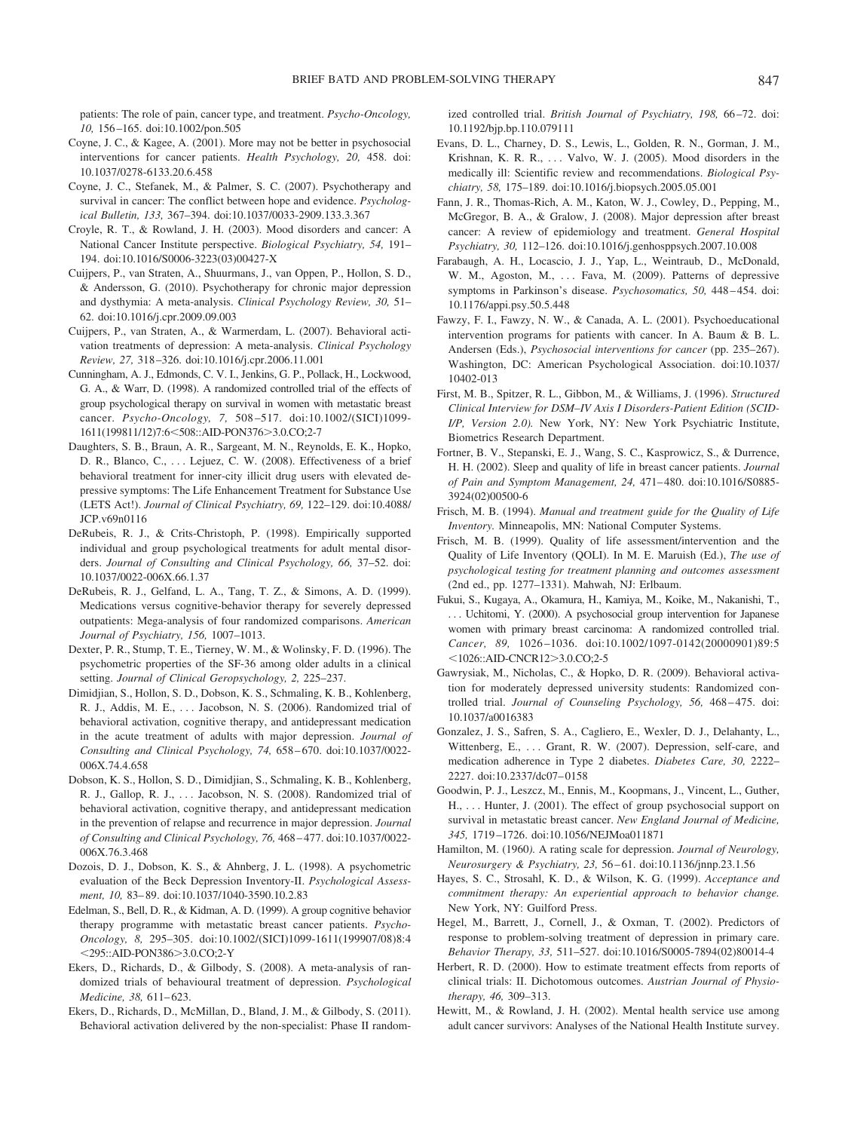patients: The role of pain, cancer type, and treatment. *Psycho-Oncology, 10,* 156 –165. doi:10.1002/pon.505

- Coyne, J. C., & Kagee, A. (2001). More may not be better in psychosocial interventions for cancer patients. *Health Psychology, 20,* 458. doi: 10.1037/0278-6133.20.6.458
- Coyne, J. C., Stefanek, M., & Palmer, S. C. (2007). Psychotherapy and survival in cancer: The conflict between hope and evidence. *Psychological Bulletin, 133,* 367–394. doi:10.1037/0033-2909.133.3.367
- Croyle, R. T., & Rowland, J. H. (2003). Mood disorders and cancer: A National Cancer Institute perspective. *Biological Psychiatry, 54,* 191– 194. doi:10.1016/S0006-3223(03)00427-X
- Cuijpers, P., van Straten, A., Shuurmans, J., van Oppen, P., Hollon, S. D., & Andersson, G. (2010). Psychotherapy for chronic major depression and dysthymia: A meta-analysis. *Clinical Psychology Review, 30,* 51– 62. doi:10.1016/j.cpr.2009.09.003
- Cuijpers, P., van Straten, A., & Warmerdam, L. (2007). Behavioral activation treatments of depression: A meta-analysis. *Clinical Psychology Review, 27,* 318 –326. doi:10.1016/j.cpr.2006.11.001
- Cunningham, A. J., Edmonds, C. V. I., Jenkins, G. P., Pollack, H., Lockwood, G. A., & Warr, D. (1998). A randomized controlled trial of the effects of group psychological therapy on survival in women with metastatic breast cancer. *Psycho-Oncology, 7,* 508 –517. doi:10.1002/(SICI)1099- 1611(199811/12)7:6<508::AID-PON376>3.0.CO;2-7
- Daughters, S. B., Braun, A. R., Sargeant, M. N., Reynolds, E. K., Hopko, D. R., Blanco, C., . . . Lejuez, C. W. (2008). Effectiveness of a brief behavioral treatment for inner-city illicit drug users with elevated depressive symptoms: The Life Enhancement Treatment for Substance Use (LETS Act!). *Journal of Clinical Psychiatry, 69,* 122–129. doi:10.4088/ JCP.v69n0116
- DeRubeis, R. J., & Crits-Christoph, P. (1998). Empirically supported individual and group psychological treatments for adult mental disorders. *Journal of Consulting and Clinical Psychology, 66,* 37–52. doi: 10.1037/0022-006X.66.1.37
- DeRubeis, R. J., Gelfand, L. A., Tang, T. Z., & Simons, A. D. (1999). Medications versus cognitive-behavior therapy for severely depressed outpatients: Mega-analysis of four randomized comparisons. *American Journal of Psychiatry, 156,* 1007–1013.
- Dexter, P. R., Stump, T. E., Tierney, W. M., & Wolinsky, F. D. (1996). The psychometric properties of the SF-36 among older adults in a clinical setting. *Journal of Clinical Geropsychology, 2,* 225–237.
- Dimidjian, S., Hollon, S. D., Dobson, K. S., Schmaling, K. B., Kohlenberg, R. J., Addis, M. E., . . . Jacobson, N. S. (2006). Randomized trial of behavioral activation, cognitive therapy, and antidepressant medication in the acute treatment of adults with major depression. *Journal of Consulting and Clinical Psychology, 74,* 658 – 670. doi:10.1037/0022- 006X.74.4.658
- Dobson, K. S., Hollon, S. D., Dimidjian, S., Schmaling, K. B., Kohlenberg, R. J., Gallop, R. J., ... Jacobson, N. S. (2008). Randomized trial of behavioral activation, cognitive therapy, and antidepressant medication in the prevention of relapse and recurrence in major depression. *Journal of Consulting and Clinical Psychology, 76,* 468 – 477. doi:10.1037/0022- 006X.76.3.468
- Dozois, D. J., Dobson, K. S., & Ahnberg, J. L. (1998). A psychometric evaluation of the Beck Depression Inventory-II. *Psychological Assessment, 10,* 83– 89. doi:10.1037/1040-3590.10.2.83
- Edelman, S., Bell, D. R., & Kidman, A. D. (1999). A group cognitive behavior therapy programme with metastatic breast cancer patients. *Psycho-Oncology, 8,* 295–305. doi:10.1002/(SICI)1099-1611(199907/08)8:4 <295::AID-PON386>3.0.CO;2-Y
- Ekers, D., Richards, D., & Gilbody, S. (2008). A meta-analysis of randomized trials of behavioural treatment of depression. *Psychological Medicine, 38,* 611– 623.
- Ekers, D., Richards, D., McMillan, D., Bland, J. M., & Gilbody, S. (2011). Behavioral activation delivered by the non-specialist: Phase II random-

ized controlled trial. *British Journal of Psychiatry, 198, 66-72.* doi: 10.1192/bjp.bp.110.079111

- Evans, D. L., Charney, D. S., Lewis, L., Golden, R. N., Gorman, J. M., Krishnan, K. R. R., . . . Valvo, W. J. (2005). Mood disorders in the medically ill: Scientific review and recommendations. *Biological Psychiatry, 58,* 175–189. doi:10.1016/j.biopsych.2005.05.001
- Fann, J. R., Thomas-Rich, A. M., Katon, W. J., Cowley, D., Pepping, M., McGregor, B. A., & Gralow, J. (2008). Major depression after breast cancer: A review of epidemiology and treatment. *General Hospital Psychiatry, 30,* 112–126. doi:10.1016/j.genhosppsych.2007.10.008
- Farabaugh, A. H., Locascio, J. J., Yap, L., Weintraub, D., McDonald, W. M., Agoston, M., ... Fava, M. (2009). Patterns of depressive symptoms in Parkinson's disease. *Psychosomatics, 50,* 448 – 454. doi: 10.1176/appi.psy.50.5.448
- Fawzy, F. I., Fawzy, N. W., & Canada, A. L. (2001). Psychoeducational intervention programs for patients with cancer. In A. Baum & B. L. Andersen (Eds.), *Psychosocial interventions for cancer* (pp. 235–267). Washington, DC: American Psychological Association. doi:10.1037/ 10402-013
- First, M. B., Spitzer, R. L., Gibbon, M., & Williams, J. (1996). *Structured Clinical Interview for DSM–IV Axis I Disorders-Patient Edition (SCID-I/P, Version 2.0).* New York, NY: New York Psychiatric Institute, Biometrics Research Department.
- Fortner, B. V., Stepanski, E. J., Wang, S. C., Kasprowicz, S., & Durrence, H. H. (2002). Sleep and quality of life in breast cancer patients. *Journal of Pain and Symptom Management, 24,* 471– 480. doi:10.1016/S0885- 3924(02)00500-6
- Frisch, M. B. (1994). *Manual and treatment guide for the Quality of Life Inventory.* Minneapolis, MN: National Computer Systems.
- Frisch, M. B. (1999). Quality of life assessment/intervention and the Quality of Life Inventory (QOLI). In M. E. Maruish (Ed.), *The use of psychological testing for treatment planning and outcomes assessment* (2nd ed., pp. 1277–1331). Mahwah, NJ: Erlbaum.
- Fukui, S., Kugaya, A., Okamura, H., Kamiya, M., Koike, M., Nakanishi, T., . . . Uchitomi, Y. (2000). A psychosocial group intervention for Japanese women with primary breast carcinoma: A randomized controlled trial. *Cancer, 89,* 1026 –1036. doi:10.1002/1097-0142(20000901)89:5 <1026::AID-CNCR12>3.0.CO;2-5
- Gawrysiak, M., Nicholas, C., & Hopko, D. R. (2009). Behavioral activation for moderately depressed university students: Randomized controlled trial. *Journal of Counseling Psychology, 56, 468-475*. doi: 10.1037/a0016383
- Gonzalez, J. S., Safren, S. A., Cagliero, E., Wexler, D. J., Delahanty, L., Wittenberg, E., ... Grant, R. W. (2007). Depression, self-care, and medication adherence in Type 2 diabetes. *Diabetes Care, 30,* 2222– 2227. doi:10.2337/dc07– 0158
- Goodwin, P. J., Leszcz, M., Ennis, M., Koopmans, J., Vincent, L., Guther, H., . . . Hunter, J. (2001). The effect of group psychosocial support on survival in metastatic breast cancer. *New England Journal of Medicine, 345,* 1719 –1726. doi:10.1056/NEJMoa011871
- Hamilton, M. (1960*).* A rating scale for depression. *Journal of Neurology, Neurosurgery & Psychiatry, 23,* 56 – 61. doi:10.1136/jnnp.23.1.56
- Hayes, S. C., Strosahl, K. D., & Wilson, K. G. (1999). *Acceptance and commitment therapy: An experiential approach to behavior change.* New York, NY: Guilford Press.
- Hegel, M., Barrett, J., Cornell, J., & Oxman, T. (2002). Predictors of response to problem-solving treatment of depression in primary care. *Behavior Therapy, 33,* 511–527. doi:10.1016/S0005-7894(02)80014-4
- Herbert, R. D. (2000). How to estimate treatment effects from reports of clinical trials: II. Dichotomous outcomes. *Austrian Journal of Physiotherapy, 46,* 309*–*313.
- Hewitt, M., & Rowland, J. H. (2002). Mental health service use among adult cancer survivors: Analyses of the National Health Institute survey.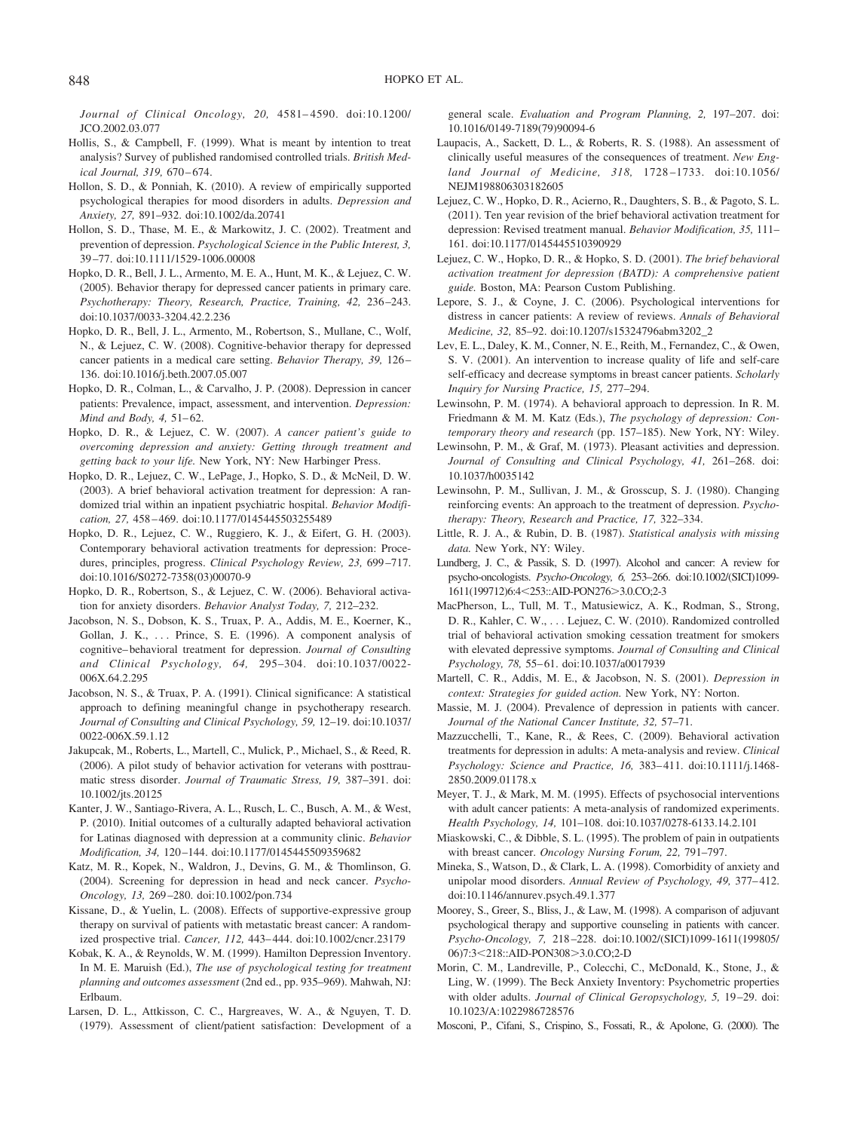*Journal of Clinical Oncology, 20,* 4581– 4590. doi:10.1200/ JCO.2002.03.077

- Hollis, S., & Campbell, F. (1999). What is meant by intention to treat analysis? Survey of published randomised controlled trials. *British Medical Journal, 319,* 670 – 674.
- Hollon, S. D., & Ponniah, K. (2010). A review of empirically supported psychological therapies for mood disorders in adults. *Depression and Anxiety, 27,* 891–932. doi:10.1002/da.20741
- Hollon, S. D., Thase, M. E., & Markowitz, J. C. (2002). Treatment and prevention of depression. *Psychological Science in the Public Interest, 3,* 39 –77. doi:10.1111/1529-1006.00008
- Hopko, D. R., Bell, J. L., Armento, M. E. A., Hunt, M. K., & Lejuez, C. W. (2005). Behavior therapy for depressed cancer patients in primary care. *Psychotherapy: Theory, Research, Practice, Training, 42,* 236 –243. doi:10.1037/0033-3204.42.2.236
- Hopko, D. R., Bell, J. L., Armento, M., Robertson, S., Mullane, C., Wolf, N., & Lejuez, C. W. (2008). Cognitive-behavior therapy for depressed cancer patients in a medical care setting. *Behavior Therapy, 39,* 126 – 136. doi:10.1016/j.beth.2007.05.007
- Hopko, D. R., Colman, L., & Carvalho, J. P. (2008). Depression in cancer patients: Prevalence, impact, assessment, and intervention. *Depression: Mind and Body, 4, 51-62.*
- Hopko, D. R., & Lejuez, C. W. (2007). *A cancer patient's guide to overcoming depression and anxiety: Getting through treatment and getting back to your life.* New York, NY: New Harbinger Press.
- Hopko, D. R., Lejuez, C. W., LePage, J., Hopko, S. D., & McNeil, D. W. (2003). A brief behavioral activation treatment for depression: A randomized trial within an inpatient psychiatric hospital. *Behavior Modification, 27,* 458 – 469. doi:10.1177/0145445503255489
- Hopko, D. R., Lejuez, C. W., Ruggiero, K. J., & Eifert, G. H. (2003). Contemporary behavioral activation treatments for depression: Procedures, principles, progress. *Clinical Psychology Review, 23,* 699 –717. doi:10.1016/S0272-7358(03)00070-9
- Hopko, D. R., Robertson, S., & Lejuez, C. W. (2006). Behavioral activation for anxiety disorders. *Behavior Analyst Today, 7,* 212–232.
- Jacobson, N. S., Dobson, K. S., Truax, P. A., Addis, M. E., Koerner, K., Gollan, J. K., ... Prince, S. E. (1996). A component analysis of cognitive– behavioral treatment for depression. *Journal of Consulting and Clinical Psychology, 64,* 295–304. doi:10.1037/0022- 006X.64.2.295
- Jacobson, N. S., & Truax, P. A. (1991). Clinical significance: A statistical approach to defining meaningful change in psychotherapy research. *Journal of Consulting and Clinical Psychology, 59,* 12–19. doi:10.1037/ 0022-006X.59.1.12
- Jakupcak, M., Roberts, L., Martell, C., Mulick, P., Michael, S., & Reed, R. (2006). A pilot study of behavior activation for veterans with posttraumatic stress disorder. *Journal of Traumatic Stress, 19,* 387–391. doi: 10.1002/jts.20125
- Kanter, J. W., Santiago-Rivera, A. L., Rusch, L. C., Busch, A. M., & West, P. (2010). Initial outcomes of a culturally adapted behavioral activation for Latinas diagnosed with depression at a community clinic. *Behavior Modification, 34,* 120 –144. doi:10.1177/0145445509359682
- Katz, M. R., Kopek, N., Waldron, J., Devins, G. M., & Thomlinson, G. (2004). Screening for depression in head and neck cancer. *Psycho-Oncology, 13,* 269 –280. doi:10.1002/pon.734
- Kissane, D., & Yuelin, L. (2008). Effects of supportive-expressive group therapy on survival of patients with metastatic breast cancer: A randomized prospective trial. *Cancer, 112,* 443– 444. doi:10.1002/cncr.23179
- Kobak, K. A., & Reynolds, W. M. (1999). Hamilton Depression Inventory. In M. E. Maruish (Ed.), *The use of psychological testing for treatment planning and outcomes assessment* (2nd ed., pp. 935–969). Mahwah, NJ: Erlbaum.
- Larsen, D. L., Attkisson, C. C., Hargreaves, W. A., & Nguyen, T. D. (1979). Assessment of client/patient satisfaction: Development of a

general scale. *Evaluation and Program Planning, 2,* 197–207. doi: 10.1016/0149-7189(79)90094-6

- Laupacis, A., Sackett, D. L., & Roberts, R. S. (1988). An assessment of clinically useful measures of the consequences of treatment. *New England Journal of Medicine, 318,* 1728 –1733. doi:10.1056/ NEJM198806303182605
- Lejuez, C. W., Hopko, D. R., Acierno, R., Daughters, S. B., & Pagoto, S. L. (2011). Ten year revision of the brief behavioral activation treatment for depression: Revised treatment manual. *Behavior Modification, 35,* 111– 161. doi:10.1177/0145445510390929
- Lejuez, C. W., Hopko, D. R., & Hopko, S. D. (2001). *The brief behavioral activation treatment for depression (BATD): A comprehensive patient guide.* Boston, MA: Pearson Custom Publishing.
- Lepore, S. J., & Coyne, J. C. (2006). Psychological interventions for distress in cancer patients: A review of reviews. *Annals of Behavioral Medicine, 32,* 85–92. doi:10.1207/s15324796abm3202\_2
- Lev, E. L., Daley, K. M., Conner, N. E., Reith, M., Fernandez, C., & Owen, S. V. (2001). An intervention to increase quality of life and self-care self-efficacy and decrease symptoms in breast cancer patients. *Scholarly Inquiry for Nursing Practice, 15,* 277–294.
- Lewinsohn, P. M. (1974). A behavioral approach to depression. In R. M. Friedmann & M. M. Katz (Eds.), *The psychology of depression: Contemporary theory and research* (pp. 157–185). New York, NY: Wiley.
- Lewinsohn, P. M., & Graf, M. (1973). Pleasant activities and depression. *Journal of Consulting and Clinical Psychology, 41,* 261–268. doi: 10.1037/h0035142
- Lewinsohn, P. M., Sullivan, J. M., & Grosscup, S. J. (1980). Changing reinforcing events: An approach to the treatment of depression. *Psychotherapy: Theory, Research and Practice, 17,* 322–334.
- Little, R. J. A., & Rubin, D. B. (1987). *Statistical analysis with missing data.* New York, NY: Wiley.
- Lundberg, J. C., & Passik, S. D. (1997). Alcohol and cancer: A review for psycho-oncologists. *Psycho-Oncology, 6,* 253–266. doi:10.1002/(SICI)1099- 1611(199712)6:4<253::AID-PON276>3.0.CO;2-3
- MacPherson, L., Tull, M. T., Matusiewicz, A. K., Rodman, S., Strong, D. R., Kahler, C. W., . . . Lejuez, C. W. (2010). Randomized controlled trial of behavioral activation smoking cessation treatment for smokers with elevated depressive symptoms. *Journal of Consulting and Clinical Psychology, 78,* 55– 61. doi:10.1037/a0017939
- Martell, C. R., Addis, M. E., & Jacobson, N. S. (2001). *Depression in context: Strategies for guided action.* New York, NY: Norton.
- Massie, M. J. (2004). Prevalence of depression in patients with cancer. *Journal of the National Cancer Institute, 32,* 57–71.
- Mazzucchelli, T., Kane, R., & Rees, C. (2009). Behavioral activation treatments for depression in adults: A meta-analysis and review. *Clinical Psychology: Science and Practice, 16,* 383– 411. doi:10.1111/j.1468- 2850.2009.01178.x
- Meyer, T. J., & Mark, M. M. (1995). Effects of psychosocial interventions with adult cancer patients: A meta-analysis of randomized experiments. *Health Psychology, 14,* 101–108. doi:10.1037/0278-6133.14.2.101
- Miaskowski, C., & Dibble, S. L. (1995). The problem of pain in outpatients with breast cancer. *Oncology Nursing Forum, 22,* 791–797.
- Mineka, S., Watson, D., & Clark, L. A. (1998). Comorbidity of anxiety and unipolar mood disorders. *Annual Review of Psychology, 49, 377-412*. doi:10.1146/annurev.psych.49.1.377
- Moorey, S., Greer, S., Bliss, J., & Law, M. (1998). A comparison of adjuvant psychological therapy and supportive counseling in patients with cancer. *Psycho-Oncology, 7,* 218 –228. doi:10.1002/(SICI)1099-1611(199805/ 06)7:3<218::AID-PON308>3.0.CO;2-D
- Morin, C. M., Landreville, P., Colecchi, C., McDonald, K., Stone, J., & Ling, W. (1999). The Beck Anxiety Inventory: Psychometric properties with older adults. *Journal of Clinical Geropsychology, 5,* 19 –29. doi: 10.1023/A:1022986728576
- Mosconi, P., Cifani, S., Crispino, S., Fossati, R., & Apolone, G. (2000). The